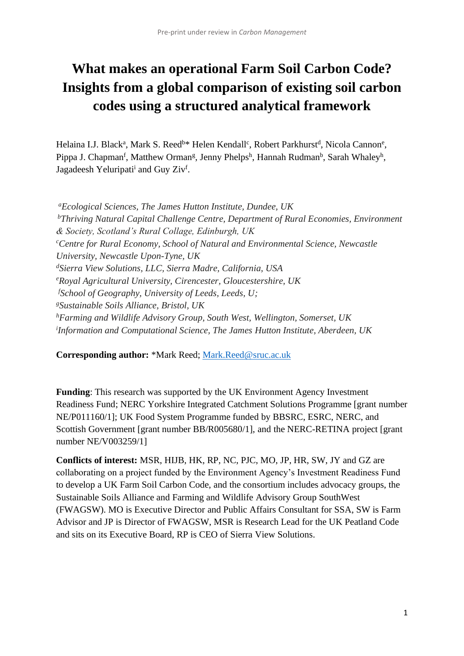# **What makes an operational Farm Soil Carbon Code? Insights from a global comparison of existing soil carbon codes using a structured analytical framework**

Helaina I.J. Black<sup>a</sup>, Mark S. Reed<sup>b\*</sup> Helen Kendall<sup>c</sup>, Robert Parkhurst<sup>d</sup>, Nicola Cannon<sup>e</sup>, Pippa J. Chapman<sup>f</sup>, Matthew Orman<sup>g</sup>, Jenny Phelps<sup>h</sup>, Hannah Rudman<sup>b</sup>, Sarah Whaley<sup>h</sup>, Jagadeesh Yeluripati<sup>i</sup> and Guy Ziv<sup>f</sup>.

*<sup>a</sup>Ecological Sciences, The James Hutton Institute, Dundee, UK <sup>b</sup>Thriving Natural Capital Challenge Centre, Department of Rural Economies, Environment & Society, Scotland's Rural Collage, Edinburgh, UK <sup>c</sup>Centre for Rural Economy, School of Natural and Environmental Science, Newcastle University, Newcastle Upon-Tyne, UK <sup>d</sup>Sierra View Solutions, LLC, Sierra Madre, California, USA <sup>e</sup>Royal Agricultural University, Cirencester, Gloucestershire, UK <sup>f</sup>School of Geography, University of Leeds, Leeds, U; <sup>g</sup>Sustainable Soils Alliance, Bristol, UK <sup>h</sup>Farming and Wildlife Advisory Group, South West, Wellington, Somerset, UK i Information and Computational Science, The James Hutton Institute, Aberdeen, UK*

**Corresponding author:** \*Mark Reed; [Mark.Reed@sruc.ac.uk](mailto:Mark.Reed@sruc.ac.uk)

**Funding**: This research was supported by the UK Environment Agency Investment Readiness Fund; NERC Yorkshire Integrated Catchment Solutions Programme [grant number NE/P011160/1]; UK Food System Programme funded by BBSRC, ESRC, NERC, and Scottish Government [grant number BB/R005680/1], and the NERC-RETINA project [grant number NE/V003259/1]

**Conflicts of interest:** MSR, HIJB, HK, RP, NC, PJC, MO, JP, HR, SW, JY and GZ are collaborating on a project funded by the Environment Agency's Investment Readiness Fund to develop a UK Farm Soil Carbon Code, and the consortium includes advocacy groups, the Sustainable Soils Alliance and Farming and Wildlife Advisory Group SouthWest (FWAGSW). MO is Executive Director and Public Affairs Consultant for SSA, SW is Farm Advisor and JP is Director of FWAGSW, MSR is Research Lead for the UK Peatland Code and sits on its Executive Board, RP is CEO of Sierra View Solutions.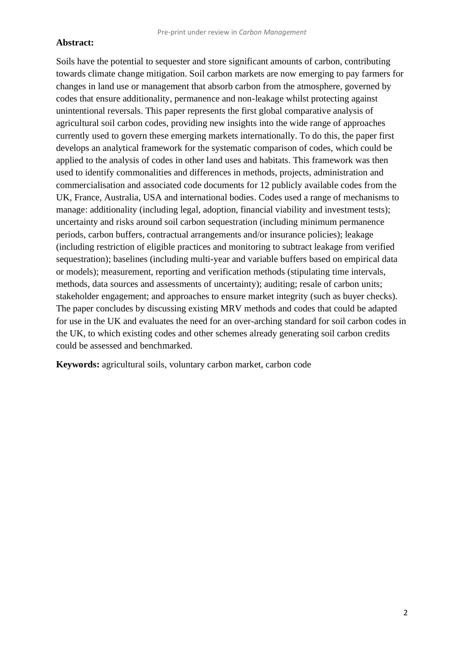Soils have the potential to sequester and store significant amounts of carbon, contributing towards climate change mitigation. Soil carbon markets are now emerging to pay farmers for changes in land use or management that absorb carbon from the atmosphere, governed by codes that ensure additionality, permanence and non-leakage whilst protecting against unintentional reversals. This paper represents the first global comparative analysis of agricultural soil carbon codes, providing new insights into the wide range of approaches currently used to govern these emerging markets internationally. To do this, the paper first develops an analytical framework for the systematic comparison of codes, which could be applied to the analysis of codes in other land uses and habitats. This framework was then used to identify commonalities and differences in methods, projects, administration and commercialisation and associated code documents for 12 publicly available codes from the UK, France, Australia, USA and international bodies. Codes used a range of mechanisms to manage: additionality (including legal, adoption, financial viability and investment tests); uncertainty and risks around soil carbon sequestration (including minimum permanence periods, carbon buffers, contractual arrangements and/or insurance policies); leakage (including restriction of eligible practices and monitoring to subtract leakage from verified sequestration); baselines (including multi-year and variable buffers based on empirical data or models); measurement, reporting and verification methods (stipulating time intervals, methods, data sources and assessments of uncertainty); auditing; resale of carbon units; stakeholder engagement; and approaches to ensure market integrity (such as buyer checks). The paper concludes by discussing existing MRV methods and codes that could be adapted for use in the UK and evaluates the need for an over-arching standard for soil carbon codes in the UK, to which existing codes and other schemes already generating soil carbon credits could be assessed and benchmarked.

**Keywords:** agricultural soils, voluntary carbon market, carbon code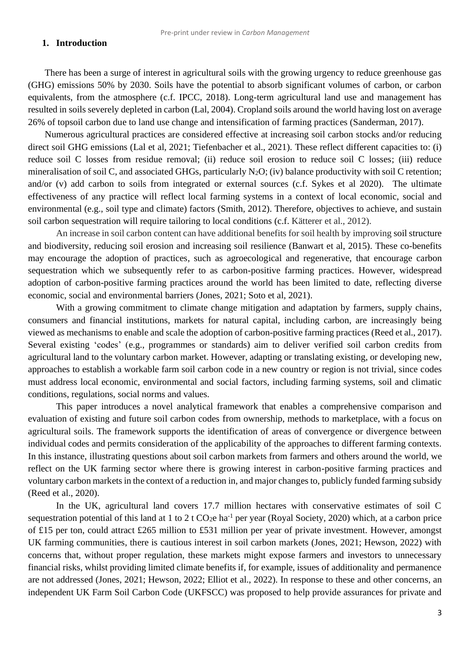#### **1. Introduction**

There has been a surge of interest in agricultural soils with the growing urgency to reduce greenhouse gas (GHG) emissions 50% by 2030. Soils have the potential to absorb significant volumes of carbon, or carbon equivalents, from the atmosphere (c.f. IPCC, 2018). Long-term agricultural land use and management has resulted in soils severely depleted in carbon (Lal, 2004). Cropland soils around the world having lost on average 26% of topsoil carbon due to land use change and intensification of farming practices (Sanderman, 2017).

Numerous agricultural practices are considered effective at increasing soil carbon stocks and/or reducing direct soil GHG emissions (Lal et al, 2021; Tiefenbacher et al., 2021). These reflect different capacities to: (i) reduce soil C losses from residue removal; (ii) reduce soil erosion to reduce soil C losses; (iii) reduce mineralisation of soil C, and associated GHGs, particularly  $N_2O$ ; (iv) balance productivity with soil C retention; and/or (v) add carbon to soils from integrated or external sources (c.f. Sykes et al 2020). The ultimate effectiveness of any practice will reflect local farming systems in a context of local economic, social and environmental (e.g., soil type and climate) factors (Smith, 2012). Therefore, objectives to achieve, and sustain soil carbon sequestration will require tailoring to local conditions (c.f. Kätterer et al., 2012).

An increase in soil carbon content can have additional benefits for soil health by improving soil structure and biodiversity, reducing soil erosion and increasing soil resilience (Banwart et al, 2015). These co-benefits may encourage the adoption of practices, such as agroecological and regenerative, that encourage carbon sequestration which we subsequently refer to as carbon-positive farming practices. However, widespread adoption of carbon-positive farming practices around the world has been limited to date, reflecting diverse economic, social and environmental barriers (Jones, 2021; Soto et al, 2021).

With a growing commitment to climate change mitigation and adaptation by farmers, supply chains, consumers and financial institutions, markets for natural capital, including carbon, are increasingly being viewed as mechanisms to enable and scale the adoption of carbon-positive farming practices (Reed et al., 2017). Several existing 'codes' (e.g., programmes or standards) aim to deliver verified soil carbon credits from agricultural land to the voluntary carbon market. However, adapting or translating existing, or developing new, approaches to establish a workable farm soil carbon code in a new country or region is not trivial, since codes must address local economic, environmental and social factors, including farming systems, soil and climatic conditions, regulations, social norms and values.

This paper introduces a novel analytical framework that enables a comprehensive comparison and evaluation of existing and future soil carbon codes from ownership, methods to marketplace, with a focus on agricultural soils. The framework supports the identification of areas of convergence or divergence between individual codes and permits consideration of the applicability of the approaches to different farming contexts. In this instance, illustrating questions about soil carbon markets from farmers and others around the world, we reflect on the UK farming sector where there is growing interest in carbon-positive farming practices and voluntary carbon markets in the context of a reduction in, and major changes to, publicly funded farming subsidy (Reed et al., 2020).

In the UK, agricultural land covers 17.7 million hectares with conservative estimates of soil C sequestration potential of this land at 1 to 2 t  $CO<sub>2</sub>e$  ha<sup>-1</sup> per year (Royal Society, 2020) which, at a carbon price of £15 per ton, could attract £265 million to £531 million per year of private investment. However, amongst UK farming communities, there is cautious interest in soil carbon markets (Jones, 2021; Hewson, 2022) with concerns that, without proper regulation, these markets might expose farmers and investors to unnecessary financial risks, whilst providing limited climate benefits if, for example, issues of additionality and permanence are not addressed (Jones, 2021; Hewson, 2022; Elliot et al., 2022). In response to these and other concerns, an independent UK Farm Soil Carbon Code (UKFSCC) was proposed to help provide assurances for private and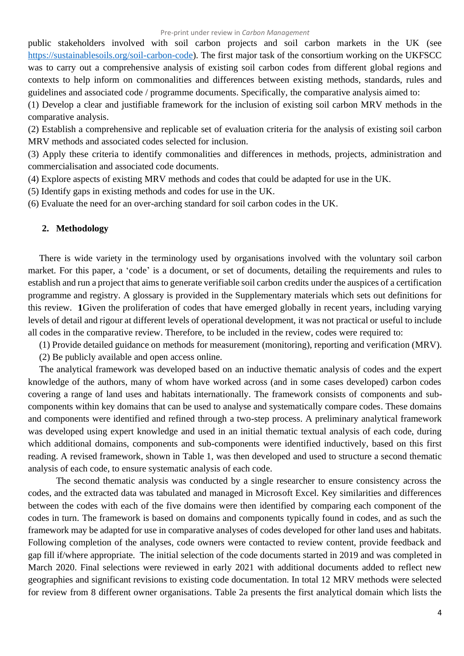public stakeholders involved with soil carbon projects and soil carbon markets in the UK (see [https://sustainablesoils.org/soil-carbon-code\)](https://sustainablesoils.org/soil-carbon-code). The first major task of the consortium working on the UKFSCC was to carry out a comprehensive analysis of existing soil carbon codes from different global regions and contexts to help inform on commonalities and differences between existing methods, standards, rules and guidelines and associated code / programme documents. Specifically, the comparative analysis aimed to:

(1) Develop a clear and justifiable framework for the inclusion of existing soil carbon MRV methods in the comparative analysis.

(2) Establish a comprehensive and replicable set of evaluation criteria for the analysis of existing soil carbon MRV methods and associated codes selected for inclusion.

(3) Apply these criteria to identify commonalities and differences in methods, projects, administration and commercialisation and associated code documents.

(4) Explore aspects of existing MRV methods and codes that could be adapted for use in the UK.

(5) Identify gaps in existing methods and codes for use in the UK.

(6) Evaluate the need for an over-arching standard for soil carbon codes in the UK.

#### **2. Methodology**

There is wide variety in the terminology used by organisations involved with the voluntary soil carbon market. For this paper, a 'code' is a document, or set of documents, detailing the requirements and rules to establish and run a project that aims to generate verifiable soil carbon credits under the auspices of a certification programme and registry. A glossary is provided in the Supplementary materials which sets out definitions for this review. **1**Given the proliferation of codes that have emerged globally in recent years, including varying levels of detail and rigour at different levels of operational development, it was not practical or useful to include all codes in the comparative review. Therefore, to be included in the review, codes were required to:

(1) Provide detailed guidance on methods for measurement (monitoring), reporting and verification (MRV).

(2) Be publicly available and open access online.

The analytical framework was developed based on an inductive thematic analysis of codes and the expert knowledge of the authors, many of whom have worked across (and in some cases developed) carbon codes covering a range of land uses and habitats internationally. The framework consists of components and subcomponents within key domains that can be used to analyse and systematically compare codes. These domains and components were identified and refined through a two-step process. A preliminary analytical framework was developed using expert knowledge and used in an initial thematic textual analysis of each code, during which additional domains, components and sub-components were identified inductively, based on this first reading. A revised framework, shown in Table 1, was then developed and used to structure a second thematic analysis of each code, to ensure systematic analysis of each code.

The second thematic analysis was conducted by a single researcher to ensure consistency across the codes, and the extracted data was tabulated and managed in Microsoft Excel. Key similarities and differences between the codes with each of the five domains were then identified by comparing each component of the codes in turn. The framework is based on domains and components typically found in codes, and as such the framework may be adapted for use in comparative analyses of codes developed for other land uses and habitats. Following completion of the analyses, code owners were contacted to review content, provide feedback and gap fill if/where appropriate. The initial selection of the code documents started in 2019 and was completed in March 2020. Final selections were reviewed in early 2021 with additional documents added to reflect new geographies and significant revisions to existing code documentation. In total 12 MRV methods were selected for review from 8 different owner organisations. Table 2a presents the first analytical domain which lists the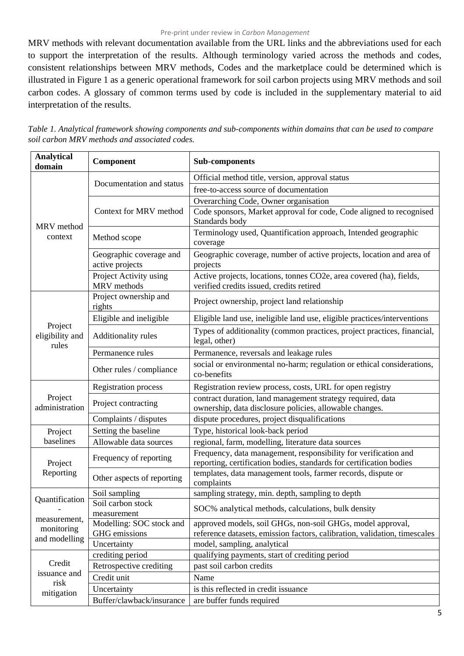#### Pre-print under review in *Carbon Management*

MRV methods with relevant documentation available from the URL links and the abbreviations used for each to support the interpretation of the results. Although terminology varied across the methods and codes, consistent relationships between MRV methods, Codes and the marketplace could be determined which is illustrated in Figure 1 as a generic operational framework for soil carbon projects using MRV methods and soil carbon codes. A glossary of common terms used by code is included in the supplementary material to aid interpretation of the results.

| <b>Analytical</b><br>domain         | Component                                  | <b>Sub-components</b>                                                                                                                   |  |  |  |  |  |  |
|-------------------------------------|--------------------------------------------|-----------------------------------------------------------------------------------------------------------------------------------------|--|--|--|--|--|--|
|                                     |                                            | Official method title, version, approval status                                                                                         |  |  |  |  |  |  |
|                                     | Documentation and status                   | free-to-access source of documentation                                                                                                  |  |  |  |  |  |  |
|                                     |                                            | Overarching Code, Owner organisation                                                                                                    |  |  |  |  |  |  |
| MRV method                          | Context for MRV method                     | Code sponsors, Market approval for code, Code aligned to recognised<br>Standards body                                                   |  |  |  |  |  |  |
| context                             | Method scope                               | Terminology used, Quantification approach, Intended geographic<br>coverage                                                              |  |  |  |  |  |  |
|                                     | Geographic coverage and<br>active projects | Geographic coverage, number of active projects, location and area of<br>projects                                                        |  |  |  |  |  |  |
|                                     | Project Activity using<br>MRV methods      | Active projects, locations, tonnes CO2e, area covered (ha), fields,<br>verified credits issued, credits retired                         |  |  |  |  |  |  |
|                                     | Project ownership and<br>rights            | Project ownership, project land relationship                                                                                            |  |  |  |  |  |  |
|                                     | Eligible and ineligible                    | Eligible land use, ineligible land use, eligible practices/interventions                                                                |  |  |  |  |  |  |
| Project<br>eligibility and<br>rules | Additionality rules                        | Types of additionality (common practices, project practices, financial,<br>legal, other)                                                |  |  |  |  |  |  |
|                                     | Permanence rules                           | Permanence, reversals and leakage rules                                                                                                 |  |  |  |  |  |  |
|                                     | Other rules / compliance                   | social or environmental no-harm; regulation or ethical considerations,<br>co-benefits                                                   |  |  |  |  |  |  |
|                                     | <b>Registration process</b>                | Registration review process, costs, URL for open registry                                                                               |  |  |  |  |  |  |
| Project<br>administration           | Project contracting                        | contract duration, land management strategy required, data<br>ownership, data disclosure policies, allowable changes.                   |  |  |  |  |  |  |
|                                     | Complaints / disputes                      | dispute procedures, project disqualifications                                                                                           |  |  |  |  |  |  |
| Project                             | Setting the baseline                       | Type, historical look-back period                                                                                                       |  |  |  |  |  |  |
| baselines                           | Allowable data sources                     | regional, farm, modelling, literature data sources                                                                                      |  |  |  |  |  |  |
| Project                             | Frequency of reporting                     | Frequency, data management, responsibility for verification and<br>reporting, certification bodies, standards for certification bodies  |  |  |  |  |  |  |
| Reporting                           | Other aspects of reporting                 | templates, data management tools, farmer records, dispute or<br>complaints                                                              |  |  |  |  |  |  |
| Quantification                      | Soil sampling                              | sampling strategy, min. depth, sampling to depth                                                                                        |  |  |  |  |  |  |
| measurement,                        | Soil carbon stock<br>measurement           | SOC% analytical methods, calculations, bulk density                                                                                     |  |  |  |  |  |  |
| monitoring<br>and modelling         | Modelling: SOC stock and<br>GHG emissions  | approved models, soil GHGs, non-soil GHGs, model approval,<br>reference datasets, emission factors, calibration, validation, timescales |  |  |  |  |  |  |
|                                     | Uncertainty                                | model, sampling, analytical                                                                                                             |  |  |  |  |  |  |
|                                     | crediting period                           | qualifying payments, start of crediting period                                                                                          |  |  |  |  |  |  |
| Credit<br>issuance and              | Retrospective crediting                    | past soil carbon credits                                                                                                                |  |  |  |  |  |  |
| risk                                | Credit unit                                | Name                                                                                                                                    |  |  |  |  |  |  |
| mitigation                          | Uncertainty                                | is this reflected in credit issuance                                                                                                    |  |  |  |  |  |  |
|                                     | Buffer/clawback/insurance                  | are buffer funds required                                                                                                               |  |  |  |  |  |  |

*Table 1. Analytical framework showing components and sub-components within domains that can be used to compare soil carbon MRV methods and associated codes.*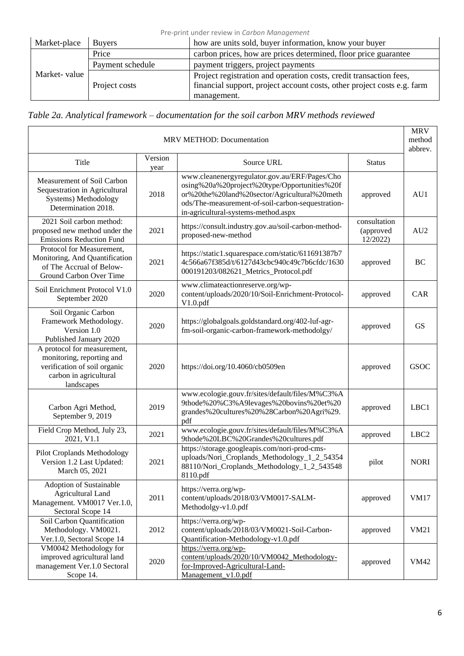| Pre-print under review in Carbon Management |  |  |  |
|---------------------------------------------|--|--|--|
|---------------------------------------------|--|--|--|

| Market-place  | <b>Buyers</b>    | how are units sold, buyer information, know your buyer                  |
|---------------|------------------|-------------------------------------------------------------------------|
|               | Price            | carbon prices, how are prices determined, floor price guarantee         |
|               | Payment schedule | payment triggers, project payments                                      |
| Market- value |                  | Project registration and operation costs, credit transaction fees,      |
|               | Project costs    | financial support, project account costs, other project costs e.g. farm |
|               |                  | management.                                                             |

*Table 2a. Analytical framework – documentation for the soil carbon MRV methods reviewed* 

|                                                                                                                                  |                                                                                    | MRV METHOD: Documentation                                                                                                                                                                                                                 |                          | <b>MRV</b><br>method<br>abbrev. |  |  |  |
|----------------------------------------------------------------------------------------------------------------------------------|------------------------------------------------------------------------------------|-------------------------------------------------------------------------------------------------------------------------------------------------------------------------------------------------------------------------------------------|--------------------------|---------------------------------|--|--|--|
| Title                                                                                                                            | Version<br>year                                                                    | Source URL                                                                                                                                                                                                                                | <b>Status</b>            |                                 |  |  |  |
| Measurement of Soil Carbon<br>Sequestration in Agricultural<br>Systems) Methodology<br>Determination 2018.                       | 2018                                                                               | www.cleanenergyregulator.gov.au/ERF/Pages/Cho<br>osing%20a%20project%20type/Opportunities%20f<br>or%20the%20land%20sector/Agricultural%20meth<br>ods/The-measurement-of-soil-carbon-sequestration-<br>in-agricultural-systems-method.aspx | approved<br>consultation | AU1                             |  |  |  |
| 2021 Soil carbon method:<br>proposed new method under the<br><b>Emissions Reduction Fund</b>                                     | https://consult.industry.gov.au/soil-carbon-method-<br>2021<br>proposed-new-method |                                                                                                                                                                                                                                           |                          |                                 |  |  |  |
| Protocol for Measurement,<br>Monitoring, And Quantification<br>of The Accrual of Below-<br>Ground Carbon Over Time               | 2021                                                                               | https://static1.squarespace.com/static/611691387b7<br>4c566a67f385d/t/6127d43cbc940c49c7b6cfdc/1630<br>000191203/082621_Metrics_Protocol.pdf                                                                                              | approved                 | BC                              |  |  |  |
| Soil Enrichment Protocol V1.0<br>September 2020                                                                                  | 2020                                                                               | www.climateactionreserve.org/wp-<br>content/uploads/2020/10/Soil-Enrichment-Protocol-<br>V1.0.pdf                                                                                                                                         | approved                 | CAR                             |  |  |  |
| Soil Organic Carbon<br>Framework Methodology.<br>Version 1.0<br>Published January 2020                                           | 2020                                                                               | https://globalgoals.goldstandard.org/402-luf-agr-<br>fm-soil-organic-carbon-framework-methodolgy/                                                                                                                                         | approved                 | <b>GS</b>                       |  |  |  |
| A protocol for measurement,<br>monitoring, reporting and<br>verification of soil organic<br>carbon in agricultural<br>landscapes | 2020                                                                               | https://doi.org/10.4060/cb0509en                                                                                                                                                                                                          | approved                 | <b>GSOC</b>                     |  |  |  |
| Carbon Agri Method,<br>September 9, 2019                                                                                         | 2019                                                                               | www.ecologie.gouv.fr/sites/default/files/M%C3%A<br>9thode%20%C3%A9levages%20bovins%20et%20<br>grandes%20cultures%20%28Carbon%20Agri%29.<br>pdf                                                                                            | approved                 | LBC1                            |  |  |  |
| Field Crop Method, July 23,<br>2021, V1.1                                                                                        | 2021                                                                               | www.ecologie.gouv.fr/sites/default/files/M%C3%A<br>9thode%20LBC%20Grandes%20cultures.pdf                                                                                                                                                  | approved                 | LBC <sub>2</sub>                |  |  |  |
| <b>Pilot Croplands Methodology</b><br>Version 1.2 Last Updated:<br>March 05, 2021                                                | 2021                                                                               | https://storage.googleapis.com/nori-prod-cms-<br>uploads/Nori_Croplands_Methodology_1_2_54354<br>88110/Nori_Croplands_Methodology_1_2_543548<br>8110.pdf                                                                                  | pilot                    | <b>NORI</b>                     |  |  |  |
| Adoption of Sustainable<br><b>Agricultural Land</b><br>Management. VM0017 Ver.1.0,<br>Sectoral Scope 14                          | 2011                                                                               | https://verra.org/wp-<br>content/uploads/2018/03/VM0017-SALM-<br>Methodolgy-v1.0.pdf                                                                                                                                                      | approved                 | <b>VM17</b>                     |  |  |  |
| Soil Carbon Quantification<br>Methodology. VM0021.<br>2012<br>Ver.1.0, Sectoral Scope 14                                         |                                                                                    | https://verra.org/wp-<br>content/uploads/2018/03/VM0021-Soil-Carbon-<br>Quantification-Methodology-v1.0.pdf                                                                                                                               | approved                 | <b>VM21</b>                     |  |  |  |
| VM0042 Methodology for<br>improved agricultural land<br>management Ver.1.0 Sectoral<br>Scope 14.                                 | 2020                                                                               | https://verra.org/wp-<br>content/uploads/2020/10/VM0042_Methodology-<br>for-Improved-Agricultural-Land-<br>Management v1.0.pdf                                                                                                            | approved                 | <b>VM42</b>                     |  |  |  |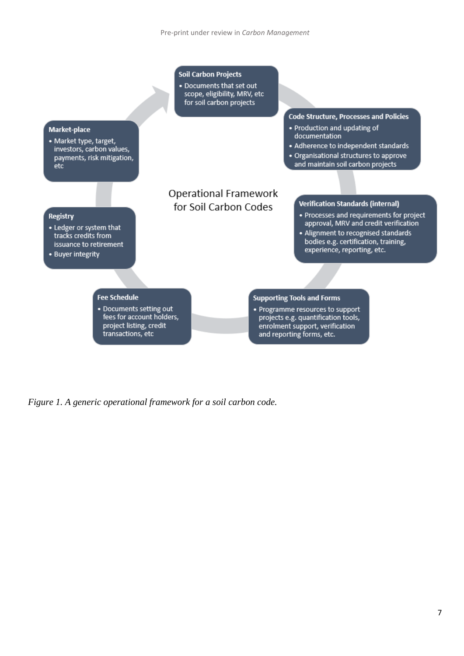

*Figure 1. A generic operational framework for a soil carbon code.*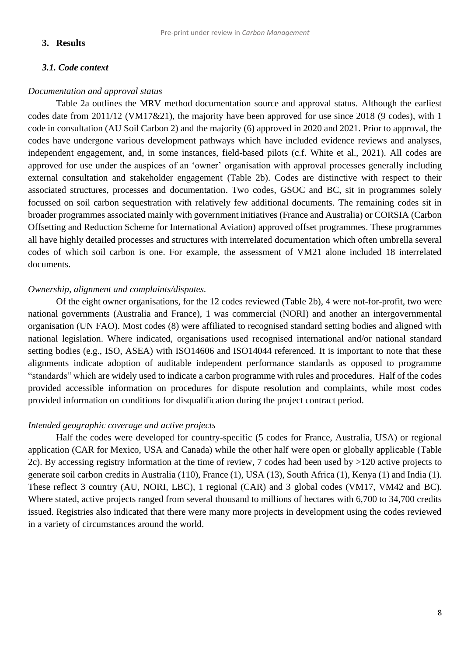### **3. Results**

#### *3.1. Code context*

#### *Documentation and approval status*

Table 2a outlines the MRV method documentation source and approval status. Although the earliest codes date from 2011/12 (VM17&21), the majority have been approved for use since 2018 (9 codes), with 1 code in consultation (AU Soil Carbon 2) and the majority (6) approved in 2020 and 2021. Prior to approval, the codes have undergone various development pathways which have included evidence reviews and analyses, independent engagement, and, in some instances, field-based pilots (c.f. White et al., 2021). All codes are approved for use under the auspices of an 'owner' organisation with approval processes generally including external consultation and stakeholder engagement (Table 2b). Codes are distinctive with respect to their associated structures, processes and documentation. Two codes, GSOC and BC, sit in programmes solely focussed on soil carbon sequestration with relatively few additional documents. The remaining codes sit in broader programmes associated mainly with government initiatives (France and Australia) or CORSIA (Carbon Offsetting and Reduction Scheme for International Aviation) approved offset programmes. These programmes all have highly detailed processes and structures with interrelated documentation which often umbrella several codes of which soil carbon is one. For example, the assessment of VM21 alone included 18 interrelated documents.

#### *Ownership, alignment and complaints/disputes.*

Of the eight owner organisations, for the 12 codes reviewed (Table 2b), 4 were not-for-profit, two were national governments (Australia and France), 1 was commercial (NORI) and another an intergovernmental organisation (UN FAO). Most codes (8) were affiliated to recognised standard setting bodies and aligned with national legislation. Where indicated, organisations used recognised international and/or national standard setting bodies (e.g., ISO, ASEA) with ISO14606 and ISO14044 referenced. It is important to note that these alignments indicate adoption of auditable independent performance standards as opposed to programme "standards" which are widely used to indicate a carbon programme with rules and procedures. Half of the codes provided accessible information on procedures for dispute resolution and complaints, while most codes provided information on conditions for disqualification during the project contract period.

### *Intended geographic coverage and active projects*

Half the codes were developed for country-specific (5 codes for France, Australia, USA) or regional application (CAR for Mexico, USA and Canada) while the other half were open or globally applicable (Table 2c). By accessing registry information at the time of review, 7 codes had been used by >120 active projects to generate soil carbon credits in Australia (110), France (1), USA (13), South Africa (1), Kenya (1) and India (1). These reflect 3 country (AU, NORI, LBC), 1 regional (CAR) and 3 global codes (VM17, VM42 and BC). Where stated, active projects ranged from several thousand to millions of hectares with 6,700 to 34,700 credits issued. Registries also indicated that there were many more projects in development using the codes reviewed in a variety of circumstances around the world.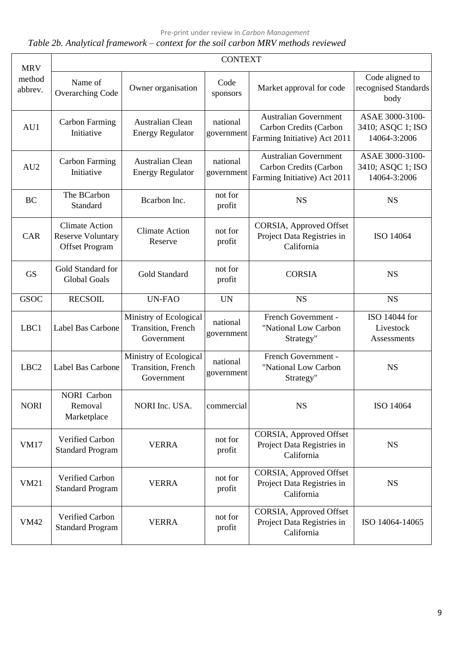Pre-print under review in *Carbon Management*

## *Table 2b. Analytical framework – context for the soil carbon MRV methods reviewed*

| <b>MRV</b>        |                                                                            |                                                            | <b>CONTEXT</b>         |                                                                                        |                                                      |
|-------------------|----------------------------------------------------------------------------|------------------------------------------------------------|------------------------|----------------------------------------------------------------------------------------|------------------------------------------------------|
| method<br>abbrev. | Name of<br>Overarching Code                                                | Owner organisation                                         | Code<br>sponsors       | Market approval for code                                                               | Code aligned to<br>recognised Standards<br>body      |
| AU1               | <b>Carbon Farming</b><br>Initiative                                        | Australian Clean<br><b>Energy Regulator</b>                | national<br>government | <b>Australian Government</b><br>Carbon Credits (Carbon<br>Farming Initiative) Act 2011 | ASAE 3000-3100-<br>3410; ASQC 1; ISO<br>14064-3:2006 |
| AU <sub>2</sub>   | <b>Carbon Farming</b><br>Initiative                                        | Australian Clean<br><b>Energy Regulator</b>                | national<br>government | <b>Australian Government</b><br>Carbon Credits (Carbon<br>Farming Initiative) Act 2011 | ASAE 3000-3100-<br>3410; ASQC 1; ISO<br>14064-3:2006 |
| <b>BC</b>         | The BCarbon<br>Standard                                                    | Bcarbon Inc.                                               | not for<br>profit      | <b>NS</b>                                                                              | <b>NS</b>                                            |
| CAR               | <b>Climate Action</b><br><b>Reserve Voluntary</b><br><b>Offset Program</b> | <b>Climate Action</b><br>Reserve                           | not for<br>profit      | CORSIA, Approved Offset<br>Project Data Registries in<br>California                    | ISO 14064                                            |
| <b>GS</b>         | Gold Standard for<br><b>Global Goals</b>                                   | Gold Standard                                              | not for<br>profit      | <b>CORSIA</b>                                                                          | <b>NS</b>                                            |
| <b>GSOC</b>       | <b>RECSOIL</b>                                                             | <b>UN-FAO</b>                                              | <b>UN</b>              | <b>NS</b>                                                                              | <b>NS</b>                                            |
| LBC1              | Label Bas Carbone                                                          | Ministry of Ecological<br>Transition, French<br>Government | national<br>government | French Government -<br>"National Low Carbon<br>Strategy"                               | ISO 14044 for<br>Livestock<br>Assessments            |
| LBC <sub>2</sub>  | Label Bas Carbone                                                          | Ministry of Ecological<br>Transition, French<br>Government | national<br>government | French Government -<br>"National Low Carbon<br>Strategy"                               | <b>NS</b>                                            |
| <b>NORI</b>       | <b>NORI</b> Carbon<br>Removal<br>Marketplace                               | NORI Inc. USA.                                             | commercial             | <b>NS</b>                                                                              | ISO 14064                                            |
| <b>VM17</b>       | Verified Carbon<br><b>Standard Program</b>                                 | <b>VERRA</b>                                               | not for<br>profit      | CORSIA, Approved Offset<br>Project Data Registries in<br>California                    | <b>NS</b>                                            |
| <b>VM21</b>       | Verified Carbon<br><b>Standard Program</b>                                 | <b>VERRA</b>                                               | not for<br>profit      | CORSIA, Approved Offset<br>Project Data Registries in<br>California                    | <b>NS</b>                                            |
| <b>VM42</b>       | Verified Carbon<br><b>Standard Program</b>                                 | <b>VERRA</b>                                               | not for<br>profit      | CORSIA, Approved Offset<br>Project Data Registries in<br>California                    | ISO 14064-14065                                      |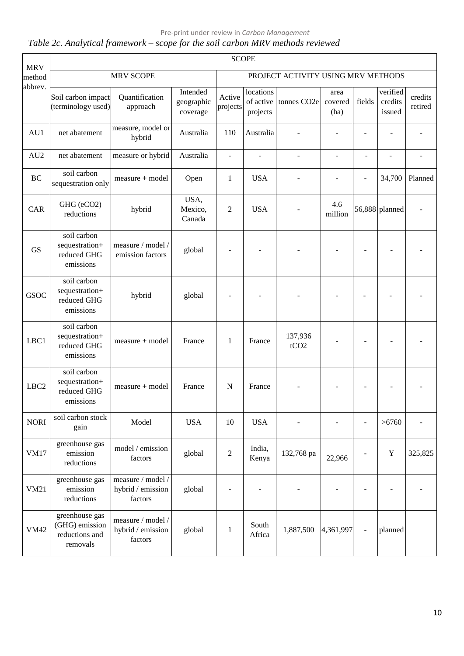## Pre-print under review in *Carbon Management*

## *Table 2c. Analytical framework – scope for the soil carbon MRV methods reviewed*

| <b>MRV</b>       |                                                                |                                                   |                                    |                          | <b>SCOPE</b>                       |                                    |                          |                          |                               |                    |
|------------------|----------------------------------------------------------------|---------------------------------------------------|------------------------------------|--------------------------|------------------------------------|------------------------------------|--------------------------|--------------------------|-------------------------------|--------------------|
| method           |                                                                | <b>MRV SCOPE</b>                                  |                                    |                          |                                    | PROJECT ACTIVITY USING MRV METHODS |                          |                          |                               |                    |
| abbrev.          | Soil carbon impact<br>(terminology used)                       | Quantification<br>approach                        | Intended<br>geographic<br>coverage | Active<br>projects       | locations<br>of active<br>projects | tonnes CO <sub>2e</sub>            | area<br>covered<br>(ha)  | fields                   | verified<br>credits<br>issued | credits<br>retired |
| AU1              | net abatement                                                  | measure, model or<br>hybrid                       | Australia                          | 110                      | Australia                          |                                    |                          |                          |                               |                    |
| AU <sub>2</sub>  | net abatement                                                  | measure or hybrid                                 | Australia                          | $\overline{\phantom{a}}$ | $\overline{\phantom{a}}$           |                                    | $\overline{\phantom{a}}$ | ÷                        |                               |                    |
| <b>BC</b>        | soil carbon<br>sequestration only                              | $measure + model$                                 | Open                               | 1                        | <b>USA</b>                         |                                    |                          | $\overline{\phantom{a}}$ | 34,700                        | Planned            |
| CAR              | GHG (eCO2)<br>reductions                                       | hybrid                                            | USA,<br>Mexico,<br>Canada          | $\overline{2}$           | <b>USA</b>                         |                                    | 4.6<br>million           |                          | 56,888 planned                |                    |
| <b>GS</b>        | soil carbon<br>sequestration+<br>reduced GHG<br>emissions      | measure / model /<br>emission factors             | global                             |                          |                                    |                                    |                          |                          |                               |                    |
| <b>GSOC</b>      | soil carbon<br>sequestration+<br>reduced GHG<br>emissions      | hybrid                                            | global                             |                          |                                    |                                    |                          |                          |                               |                    |
| LBC1             | soil carbon<br>sequestration+<br>reduced GHG<br>emissions      | $measure + model$                                 | France                             | $\mathbf{1}$             | France                             | 137,936<br>tCO <sub>2</sub>        |                          |                          |                               |                    |
| LBC <sub>2</sub> | soil carbon<br>sequestration+<br>reduced GHG<br>emissions      | $measure + model$                                 | France                             | $\mathbf N$              | France                             |                                    |                          |                          |                               |                    |
| <b>NORI</b>      | soil carbon stock<br>gain                                      | Model                                             | <b>USA</b>                         | 10                       | <b>USA</b>                         |                                    |                          | ÷,                       | >6760                         |                    |
| <b>VM17</b>      | greenhouse gas<br>emission<br>reductions                       | model / emission<br>factors                       | global                             | $\sqrt{2}$               | India,<br>Kenya                    | 132,768 pa                         | 22,966                   |                          | $\mathbf Y$                   | 325,825            |
| <b>VM21</b>      | greenhouse gas<br>emission<br>reductions                       | measure / model /<br>hybrid / emission<br>factors | global                             |                          |                                    |                                    |                          |                          |                               |                    |
| <b>VM42</b>      | greenhouse gas<br>(GHG) emission<br>reductions and<br>removals | measure / model /<br>hybrid / emission<br>factors | global                             | $\mathbf{1}$             | South<br>Africa                    | 1,887,500                          | 4,361,997                |                          | planned                       |                    |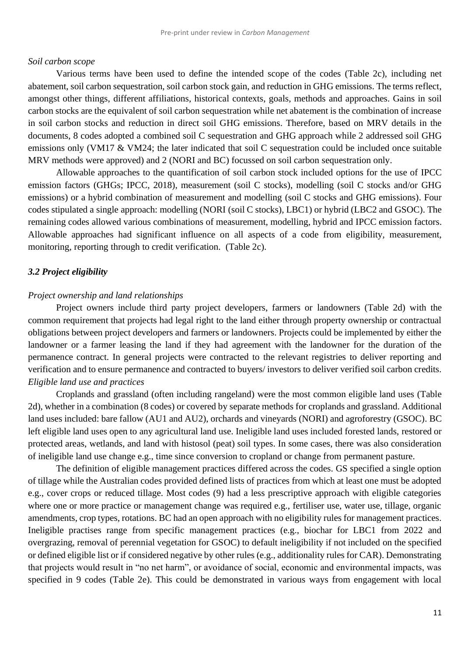#### *Soil carbon scope*

Various terms have been used to define the intended scope of the codes (Table 2c), including net abatement, soil carbon sequestration, soil carbon stock gain, and reduction in GHG emissions. The terms reflect, amongst other things, different affiliations, historical contexts, goals, methods and approaches. Gains in soil carbon stocks are the equivalent of soil carbon sequestration while net abatement is the combination of increase in soil carbon stocks and reduction in direct soil GHG emissions. Therefore, based on MRV details in the documents, 8 codes adopted a combined soil C sequestration and GHG approach while 2 addressed soil GHG emissions only (VM17 & VM24; the later indicated that soil C sequestration could be included once suitable MRV methods were approved) and 2 (NORI and BC) focussed on soil carbon sequestration only.

Allowable approaches to the quantification of soil carbon stock included options for the use of IPCC emission factors (GHGs; IPCC, 2018), measurement (soil C stocks), modelling (soil C stocks and/or GHG emissions) or a hybrid combination of measurement and modelling (soil C stocks and GHG emissions). Four codes stipulated a single approach: modelling (NORI (soil C stocks), LBC1) or hybrid (LBC2 and GSOC). The remaining codes allowed various combinations of measurement, modelling, hybrid and IPCC emission factors. Allowable approaches had significant influence on all aspects of a code from eligibility, measurement, monitoring, reporting through to credit verification. (Table 2c).

#### *3.2 Project eligibility*

#### *Project ownership and land relationships*

Project owners include third party project developers, farmers or landowners (Table 2d) with the common requirement that projects had legal right to the land either through property ownership or contractual obligations between project developers and farmers or landowners. Projects could be implemented by either the landowner or a farmer leasing the land if they had agreement with the landowner for the duration of the permanence contract. In general projects were contracted to the relevant registries to deliver reporting and verification and to ensure permanence and contracted to buyers/ investors to deliver verified soil carbon credits. *Eligible land use and practices*

Croplands and grassland (often including rangeland) were the most common eligible land uses (Table 2d), whether in a combination (8 codes) or covered by separate methods for croplands and grassland. Additional land uses included: bare fallow (AU1 and AU2), orchards and vineyards (NORI) and agroforestry (GSOC). BC left eligible land uses open to any agricultural land use. Ineligible land uses included forested lands, restored or protected areas, wetlands, and land with histosol (peat) soil types. In some cases, there was also consideration of ineligible land use change e.g., time since conversion to cropland or change from permanent pasture.

The definition of eligible management practices differed across the codes. GS specified a single option of tillage while the Australian codes provided defined lists of practices from which at least one must be adopted e.g., cover crops or reduced tillage. Most codes (9) had a less prescriptive approach with eligible categories where one or more practice or management change was required e.g., fertiliser use, water use, tillage, organic amendments, crop types, rotations. BC had an open approach with no eligibility rules for management practices. Ineligible practises range from specific management practices (e.g., biochar for LBC1 from 2022 and overgrazing, removal of perennial vegetation for GSOC) to default ineligibility if not included on the specified or defined eligible list or if considered negative by other rules (e.g., additionality rules for CAR). Demonstrating that projects would result in "no net harm", or avoidance of social, economic and environmental impacts, was specified in 9 codes (Table 2e). This could be demonstrated in various ways from engagement with local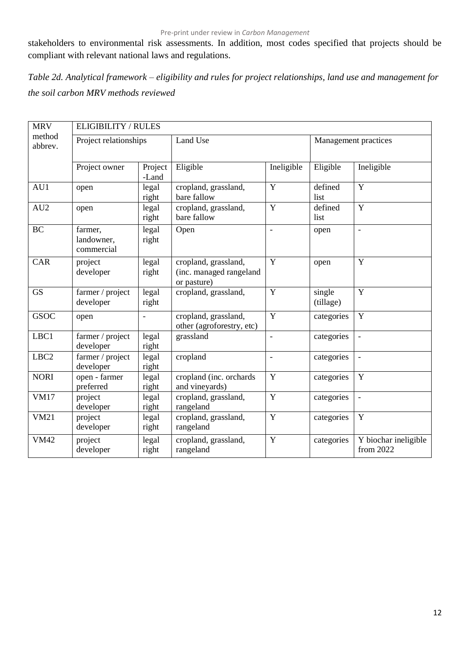stakeholders to environmental risk assessments. In addition, most codes specified that projects should be compliant with relevant national laws and regulations.

*Table 2d. Analytical framework – eligibility and rules for project relationships, land use and management for the soil carbon MRV methods reviewed*

| <b>MRV</b>        | ELIGIBILITY / RULES                 |                  |                                                                |                |                     |                                   |  |  |  |  |  |  |
|-------------------|-------------------------------------|------------------|----------------------------------------------------------------|----------------|---------------------|-----------------------------------|--|--|--|--|--|--|
| method<br>abbrev. | Project relationships               |                  | Land Use                                                       |                |                     | Management practices              |  |  |  |  |  |  |
|                   | Project owner                       | Project<br>-Land | Eligible                                                       | Ineligible     | Eligible            | Ineligible                        |  |  |  |  |  |  |
| AU1               | open                                | legal<br>right   | cropland, grassland,<br>bare fallow                            | Y              | defined<br>list     | $\overline{Y}$                    |  |  |  |  |  |  |
| AU2               | open                                | legal<br>right   | cropland, grassland,<br>bare fallow                            | Y              | defined<br>list     | $\overline{Y}$                    |  |  |  |  |  |  |
| <b>BC</b>         | farmer,<br>landowner,<br>commercial | legal<br>right   | Open                                                           | $\blacksquare$ | open                | $\overline{\phantom{a}}$          |  |  |  |  |  |  |
| CAR               | project<br>developer                | legal<br>right   | cropland, grassland,<br>(inc. managed rangeland<br>or pasture) | $\overline{Y}$ | open                | $\overline{Y}$                    |  |  |  |  |  |  |
| <b>GS</b>         | farmer / project<br>developer       | legal<br>right   | cropland, grassland,                                           | Y              | single<br>(tillage) | Y                                 |  |  |  |  |  |  |
| <b>GSOC</b>       | open                                | $\overline{a}$   | cropland, grassland,<br>other (agroforestry, etc)              | Y              | categories          | Y                                 |  |  |  |  |  |  |
| LBC1              | farmer / project<br>developer       | legal<br>right   | grassland                                                      | $\overline{a}$ | categories          | $\overline{\phantom{a}}$          |  |  |  |  |  |  |
| LBC <sub>2</sub>  | farmer / project<br>developer       | legal<br>right   | cropland                                                       | $\frac{1}{2}$  | categories          | $\overline{\phantom{a}}$          |  |  |  |  |  |  |
| <b>NORI</b>       | open - farmer<br>preferred          | legal<br>right   | cropland (inc. orchards<br>and vineyards)                      | Y              | categories          | Y                                 |  |  |  |  |  |  |
| <b>VM17</b>       | project<br>developer                | legal<br>right   | cropland, grassland,<br>rangeland                              | Y              | categories          | $\overline{\phantom{a}}$          |  |  |  |  |  |  |
| <b>VM21</b>       | project<br>developer                | legal<br>right   | cropland, grassland,<br>rangeland                              | Y              | categories          | $\mathbf Y$                       |  |  |  |  |  |  |
| <b>VM42</b>       | project<br>developer                | legal<br>right   | cropland, grassland,<br>rangeland                              | Y              | categories          | Y biochar ineligible<br>from 2022 |  |  |  |  |  |  |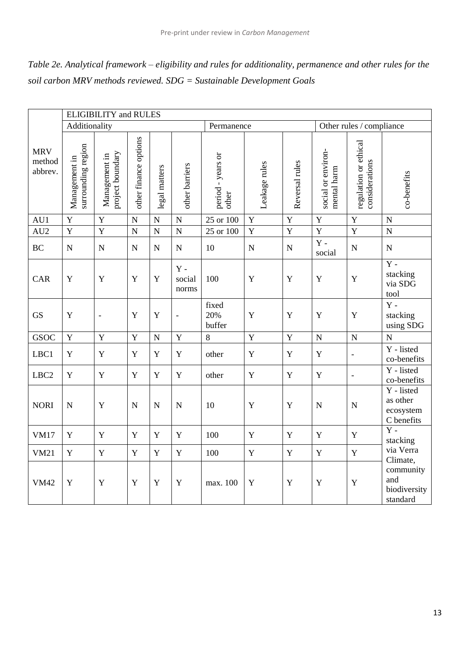| Table 2e. Analytical framework – eligibility and rules for additionality, permanence and other rules for the |
|--------------------------------------------------------------------------------------------------------------|
| soil carbon MRV methods reviewed. $SDG =$ Sustainable Development Goals                                      |

|                                 |                                     | <b>ELIGIBILITY</b> and RULES                                                                  |             |             |                                  |                        |                |                                   |                                         |                          |                                                   |
|---------------------------------|-------------------------------------|-----------------------------------------------------------------------------------------------|-------------|-------------|----------------------------------|------------------------|----------------|-----------------------------------|-----------------------------------------|--------------------------|---------------------------------------------------|
|                                 | Additionality                       |                                                                                               |             |             |                                  | Permanence             |                |                                   |                                         | Other rules / compliance |                                                   |
| <b>MRV</b><br>method<br>abbrev. | surrounding region<br>Management in | other finance options<br>project boundary<br>Management in<br>other barriers<br>legal matters |             |             | period - years or<br>other       | Leakage rules          | Reversal rules | social or environ-<br>mental harm | regulation or ethical<br>considerations | co-benefits              |                                                   |
| AU1                             | $\mathbf Y$                         | Y                                                                                             | $\mathbf N$ | $\mathbf N$ | ${\bf N}$                        | $25$ or $100$          | $\mathbf Y$    | $\mathbf Y$                       | Y                                       | $\mathbf Y$              | $\mathbf N$                                       |
| AU <sub>2</sub>                 | $\mathbf Y$                         | $\mathbf Y$                                                                                   | $\mathbf N$ | ${\bf N}$   | ${\bf N}$                        | 25 or 100              | $\mathbf Y$    | $\mathbf Y$                       | $\mathbf Y$                             | $\mathbf Y$              | ${\bf N}$                                         |
| <b>BC</b>                       | ${\bf N}$                           | $\mathbf N$                                                                                   | $\mathbf N$ | ${\bf N}$   | ${\bf N}$                        | 10                     | ${\bf N}$      | ${\bf N}$                         | $Y -$<br>social                         | ${\bf N}$                | $\mathbf N$                                       |
| <b>CAR</b>                      | Y                                   | Y                                                                                             | Y           | $\mathbf Y$ | $\mathbf Y$ -<br>social<br>norms | 100                    | $\mathbf Y$    | $\mathbf Y$                       | $\mathbf Y$                             | $\mathbf Y$              | $\overline{Y}$ -<br>stacking<br>via SDG<br>tool   |
| <b>GS</b>                       | $\mathbf Y$                         | $\blacksquare$                                                                                | Y           | $\mathbf Y$ | $\frac{1}{2}$                    | fixed<br>20%<br>buffer | $\mathbf Y$    | $\mathbf Y$                       | Y                                       | $\mathbf Y$              | $\mathbf Y$ -<br>stacking<br>using SDG            |
| <b>GSOC</b>                     | $\mathbf Y$                         | $\mathbf Y$                                                                                   | $\mathbf Y$ | ${\bf N}$   | $\mathbf Y$                      | 8                      | Y              | $\mathbf Y$                       | ${\bf N}$                               | ${\bf N}$                | $\overline{N}$                                    |
| LBC1                            | $\mathbf Y$                         | Y                                                                                             | $\mathbf Y$ | $\mathbf Y$ | $\mathbf Y$                      | other                  | $\mathbf Y$    | $\mathbf Y$                       | $\mathbf Y$                             | $\blacksquare$           | Y - listed<br>co-benefits                         |
| LBC <sub>2</sub>                | $\mathbf Y$                         | Y                                                                                             | $\mathbf Y$ | $\mathbf Y$ | $\mathbf Y$                      | other                  | $\mathbf Y$    | $\mathbf Y$                       | $\mathbf Y$                             | $\blacksquare$           | Y - listed<br>co-benefits                         |
| <b>NORI</b>                     | $\mathbf N$                         | Y                                                                                             | $\mathbf N$ | $\mathbf N$ | $\mathbf N$                      | 10                     | $\mathbf Y$    | Y                                 | $\mathbf N$                             | $\mathbf N$              | Y - listed<br>as other<br>ecosystem<br>C benefits |
| <b>VM17</b>                     | $\mathbf Y$                         | Y                                                                                             | Y           | $\mathbf Y$ | Y                                | 100                    | $\mathbf Y$    | $\mathbf Y$                       | $\mathbf Y$                             | $\mathbf Y$              | $\overline{Y}$ -<br>stacking                      |
| <b>VM21</b>                     | $\mathbf Y$                         | $\mathbf Y$                                                                                   | $\mathbf Y$ | $\mathbf Y$ | $\mathbf Y$                      | 100                    | $\mathbf Y$    | $\mathbf Y$                       | $\mathbf Y$                             | $\mathbf Y$              | via Verra<br>Climate,                             |
| <b>VM42</b>                     | Y                                   | Y                                                                                             | Y           | $\mathbf Y$ | Y                                | max. 100               | $\mathbf Y$    | $\mathbf Y$                       | $\mathbf Y$                             | $\mathbf Y$              | community<br>and<br>biodiversity<br>standard      |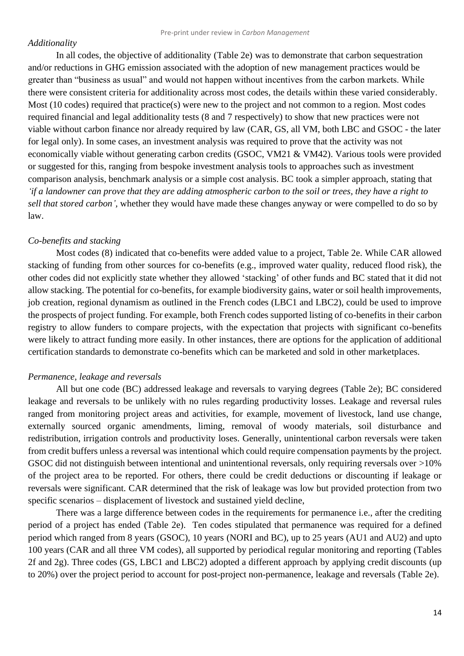#### *Additionality*

In all codes, the objective of additionality (Table 2e) was to demonstrate that carbon sequestration and/or reductions in GHG emission associated with the adoption of new management practices would be greater than "business as usual" and would not happen without incentives from the carbon markets. While there were consistent criteria for additionality across most codes, the details within these varied considerably. Most (10 codes) required that practice(s) were new to the project and not common to a region. Most codes required financial and legal additionality tests (8 and 7 respectively) to show that new practices were not viable without carbon finance nor already required by law (CAR, GS, all VM, both LBC and GSOC - the later for legal only). In some cases, an investment analysis was required to prove that the activity was not economically viable without generating carbon credits (GSOC, VM21 & VM42). Various tools were provided or suggested for this, ranging from bespoke investment analysis tools to approaches such as investment comparison analysis, benchmark analysis or a simple cost analysis. BC took a simpler approach, stating that *'if a landowner can prove that they are adding atmospheric carbon to the soil or trees, they have a right to sell that stored carbon',* whether they would have made these changes anyway or were compelled to do so by law.

#### *Co-benefits and stacking*

Most codes (8) indicated that co-benefits were added value to a project, Table 2e. While CAR allowed stacking of funding from other sources for co-benefits (e.g., improved water quality, reduced flood risk), the other codes did not explicitly state whether they allowed 'stacking' of other funds and BC stated that it did not allow stacking. The potential for co-benefits, for example biodiversity gains, water or soil health improvements, job creation, regional dynamism as outlined in the French codes (LBC1 and LBC2), could be used to improve the prospects of project funding. For example, both French codes supported listing of co-benefits in their carbon registry to allow funders to compare projects, with the expectation that projects with significant co-benefits were likely to attract funding more easily. In other instances, there are options for the application of additional certification standards to demonstrate co-benefits which can be marketed and sold in other marketplaces.

#### *Permanence, leakage and reversals*

All but one code (BC) addressed leakage and reversals to varying degrees (Table 2e); BC considered leakage and reversals to be unlikely with no rules regarding productivity losses. Leakage and reversal rules ranged from monitoring project areas and activities, for example, movement of livestock, land use change, externally sourced organic amendments, liming, removal of woody materials, soil disturbance and redistribution, irrigation controls and productivity loses. Generally, unintentional carbon reversals were taken from credit buffers unless a reversal was intentional which could require compensation payments by the project. GSOC did not distinguish between intentional and unintentional reversals, only requiring reversals over >10% of the project area to be reported. For others, there could be credit deductions or discounting if leakage or reversals were significant. CAR determined that the risk of leakage was low but provided protection from two specific scenarios – displacement of livestock and sustained yield decline,

There was a large difference between codes in the requirements for permanence i.e., after the crediting period of a project has ended (Table 2e). Ten codes stipulated that permanence was required for a defined period which ranged from 8 years (GSOC), 10 years (NORI and BC), up to 25 years (AU1 and AU2) and upto 100 years (CAR and all three VM codes), all supported by periodical regular monitoring and reporting (Tables 2f and 2g). Three codes (GS, LBC1 and LBC2) adopted a different approach by applying credit discounts (up to 20%) over the project period to account for post-project non-permanence, leakage and reversals (Table 2e).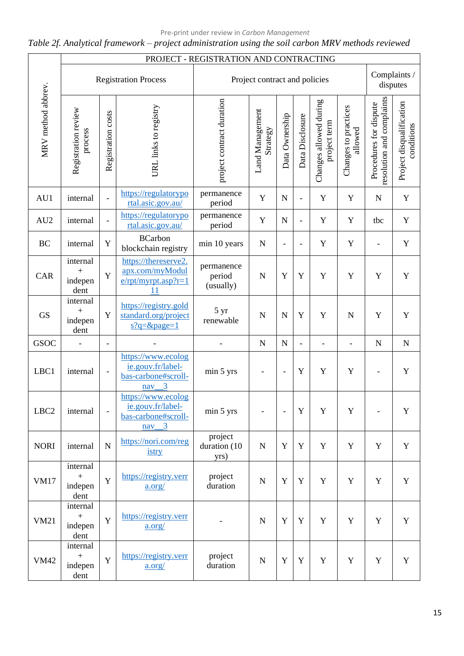## *Table 2f. Analytical framework – project administration using the soil carbon MRV methods reviewed*

|                    |                                                   |                          |                                                                                                  | PROJECT - REGISTRATION AND CONTRACTING |                               |                          |                          |                                        |                                 |                                                     |                                        |
|--------------------|---------------------------------------------------|--------------------------|--------------------------------------------------------------------------------------------------|----------------------------------------|-------------------------------|--------------------------|--------------------------|----------------------------------------|---------------------------------|-----------------------------------------------------|----------------------------------------|
|                    |                                                   |                          | <b>Registration Process</b>                                                                      |                                        | Project contract and policies |                          |                          |                                        |                                 | Complaints /                                        | disputes                               |
| MRV method abbrev. | Registration review<br>process                    | Registration costs       | URL links to registry                                                                            | project contract duration              | Land Management<br>Strategy   | Data Ownership           | Data Disclosure          | Changes allowed during<br>project term | Changes to practices<br>allowed | resolution and complaints<br>Procedures for dispute | Project disqualification<br>conditions |
| AU1                | internal                                          | $\frac{1}{2}$            | https://regulatorypo<br>rtal.asic.gov.au/                                                        | permanence<br>period                   | Y                             | $\mathbf N$              | $\overline{\phantom{a}}$ | Y                                      | Y                               | ${\bf N}$                                           | $\mathbf Y$                            |
| AU <sub>2</sub>    | internal                                          | $\overline{\phantom{a}}$ | https://regulatorypo<br>rtal.asic.gov.au/                                                        | permanence<br>period                   | Y                             | $\mathbf N$              | $\blacksquare$           | Y                                      | Y                               | tbc                                                 | $\mathbf Y$                            |
| <b>BC</b>          | internal                                          | Y                        | <b>BCarbon</b><br>blockchain registry                                                            | min 10 years                           | $\mathbf N$                   |                          | $\overline{\phantom{a}}$ | Y                                      | $\mathbf Y$                     |                                                     | $\mathbf Y$                            |
| CAR                | internal<br>$\hspace{0.1mm} +$<br>indepen<br>dent | Y                        | https://thereserve2.<br>apx.com/myModul<br>$e$ /rpt/myrpt.asp?r=1<br>11                          | permanence<br>period<br>(usually)      | $\mathbf N$                   | Y                        | Y                        | Y                                      | Y                               | Y                                                   | $\mathbf Y$                            |
| <b>GS</b>          | internal<br>$+$<br>indepen<br>dent                | Y                        | https://registry.gold<br>standard.org/project<br>$s?q = \&page = 1$                              | 5 yr<br>renewable                      | $\mathbf N$                   | N                        | Y                        | Y                                      | $\mathbf N$                     | $\mathbf Y$                                         | $\mathbf Y$                            |
| <b>GSOC</b>        | $\overline{\phantom{0}}$                          | $\overline{\phantom{a}}$ |                                                                                                  |                                        | $\mathbf N$                   | $\mathbf N$              | $\blacksquare$           | $\overline{\phantom{0}}$               | $\overline{\phantom{0}}$        | ${\bf N}$                                           | ${\bf N}$                              |
| LBC1               | internal                                          | $\overline{\phantom{a}}$ | https://www.ecolog<br>ie.gouv.fr/label-<br>bas-carbone#scroll-<br>$\overline{\mathbf{3}}$<br>nav | min 5 yrs                              | $\overline{\phantom{0}}$      | $\overline{\phantom{a}}$ | Y                        | Y                                      | $\mathbf Y$                     | ÷,                                                  | $\mathbf Y$                            |
| LBC <sub>2</sub>   | internal                                          |                          | https://www.ecolog<br>ie.gouv.fr/label-<br>bas-carbone#scroll-<br>$\frac{nav - 3}{2}$            | min 5 yrs                              |                               | $\overline{\phantom{a}}$ | $\mathbf Y$              | Y                                      | $\mathbf Y$                     |                                                     | $\mathbf Y$                            |
| <b>NORI</b>        | internal                                          | $\mathbf N$              | https://nori.com/reg<br>istry                                                                    | project<br>duration (10<br>yrs)        | ${\bf N}$                     | Y                        | $\mathbf Y$              | $\mathbf Y$                            | Y                               | Y                                                   | Y                                      |
| <b>VM17</b>        | internal<br>$\boldsymbol{+}$<br>indepen<br>dent   | Y                        | https://registry.verr<br>a.org/                                                                  | project<br>duration                    | $\mathbf N$                   | Y                        | $\mathbf Y$              | $\mathbf Y$                            | Y                               | $\mathbf Y$                                         | $\mathbf Y$                            |
| <b>VM21</b>        | internal<br>$\boldsymbol{+}$<br>indepen<br>dent   | Y                        | https://registry.verr<br>a.org/                                                                  |                                        | ${\bf N}$                     | Y                        | $\mathbf Y$              | Y                                      | Y                               | Y                                                   | $\mathbf Y$                            |
| <b>VM42</b>        | internal<br>$\boldsymbol{+}$<br>indepen<br>dent   | Y                        | https://registry.verr<br>a.org/                                                                  | project<br>duration                    | ${\bf N}$                     | Y                        | $\mathbf Y$              | $\mathbf Y$                            | $\mathbf Y$                     | Y                                                   | $\mathbf Y$                            |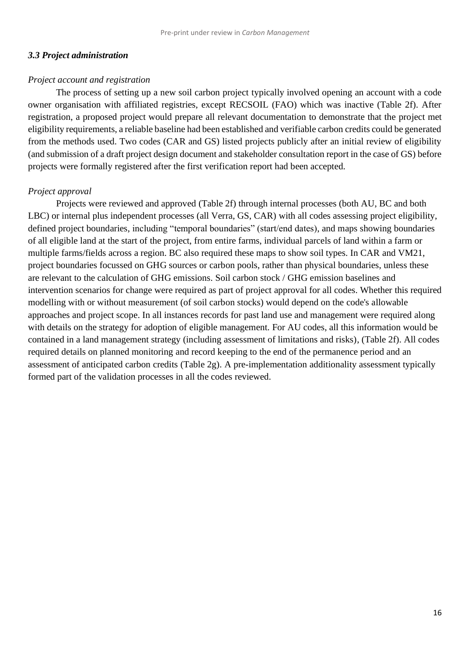#### *3.3 Project administration*

## *Project account and registration*

The process of setting up a new soil carbon project typically involved opening an account with a code owner organisation with affiliated registries, except RECSOIL (FAO) which was inactive (Table 2f). After registration, a proposed project would prepare all relevant documentation to demonstrate that the project met eligibility requirements, a reliable baseline had been established and verifiable carbon credits could be generated from the methods used. Two codes (CAR and GS) listed projects publicly after an initial review of eligibility (and submission of a draft project design document and stakeholder consultation report in the case of GS) before projects were formally registered after the first verification report had been accepted.

### *Project approval*

Projects were reviewed and approved (Table 2f) through internal processes (both AU, BC and both LBC) or internal plus independent processes (all Verra, GS, CAR) with all codes assessing project eligibility, defined project boundaries, including "temporal boundaries" (start/end dates), and maps showing boundaries of all eligible land at the start of the project, from entire farms, individual parcels of land within a farm or multiple farms/fields across a region. BC also required these maps to show soil types. In CAR and VM21, project boundaries focussed on GHG sources or carbon pools, rather than physical boundaries, unless these are relevant to the calculation of GHG emissions. Soil carbon stock / GHG emission baselines and intervention scenarios for change were required as part of project approval for all codes. Whether this required modelling with or without measurement (of soil carbon stocks) would depend on the code's allowable approaches and project scope. In all instances records for past land use and management were required along with details on the strategy for adoption of eligible management. For AU codes, all this information would be contained in a land management strategy (including assessment of limitations and risks), (Table 2f). All codes required details on planned monitoring and record keeping to the end of the permanence period and an assessment of anticipated carbon credits (Table 2g). A pre-implementation additionality assessment typically formed part of the validation processes in all the codes reviewed.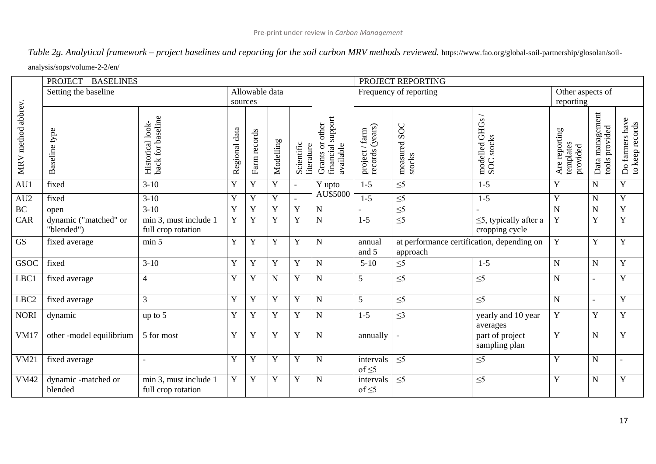*Table 2g. Analytical framework – project baselines and reporting for the soil carbon MRV methods reviewed.* https://www.fao.org/global-soil-partnership/glosolan/soilanalysis/sops/volume-2-2/en/

|                    | <b>PROJECT - BASELINES</b>          |                                             |                                                                        |                |                                                   |                                                                                                         |                        |                                    | PROJECT REPORTING                                      |                                               |                                    |             |                          |  |  |
|--------------------|-------------------------------------|---------------------------------------------|------------------------------------------------------------------------|----------------|---------------------------------------------------|---------------------------------------------------------------------------------------------------------|------------------------|------------------------------------|--------------------------------------------------------|-----------------------------------------------|------------------------------------|-------------|--------------------------|--|--|
|                    | Setting the baseline                |                                             |                                                                        | Allowable data |                                                   |                                                                                                         |                        |                                    | Frequency of reporting                                 |                                               | Other aspects of                   |             |                          |  |  |
|                    |                                     |                                             | sources                                                                |                |                                                   |                                                                                                         |                        |                                    |                                                        |                                               | reporting                          |             |                          |  |  |
| MRV method abbrev. | Baseline type                       | back for baseline<br>Historical look-       | Regional data<br>Farm records<br>Modelling<br>Scientific<br>literature |                | financial support<br>Grants or other<br>available | $\begin{array}{c} \mathrm{project}\,/\, \mathrm{farm}\\ \mathrm{records}\,(\mathrm{years}) \end{array}$ | measured SOC<br>stocks | modelled GHGs<br><b>SOC</b> stocks | Are reporting<br>templates<br>provided                 | Data management<br>tools provided             | Do farmers have<br>to keep records |             |                          |  |  |
| AU1                | fixed                               | $3-10$                                      | Y                                                                      | Y              | Y                                                 | $\overline{\phantom{a}}$                                                                                | Y upto                 | $1-5$                              | $\leq$                                                 | $1-5$                                         | Y                                  | $\mathbf N$ | Y                        |  |  |
| AU <sub>2</sub>    | fixed                               | $3 - 10$                                    | $\mathbf Y$                                                            | Y              | $\mathbf Y$                                       |                                                                                                         | AU\$5000               | $1-5$                              | $\leq 5$                                               | $1 - 5$                                       | $\mathbf Y$                        | $\mathbf N$ | $\mathbf Y$              |  |  |
| $\rm BC$           | open                                | $3-10$                                      | $\mathbf Y$                                                            | Y              | $\mathbf Y$                                       | Y                                                                                                       | $\mathbf N$            |                                    | $\overline{\leq}$                                      |                                               | $\mathbf N$                        | $\mathbf N$ | $\mathbf Y$              |  |  |
| CAR                | dynamic ("matched" or<br>"blended") | min 3, must include 1<br>full crop rotation | $\mathbf Y$                                                            | Y              | Y                                                 | Y                                                                                                       | $\overline{N}$         | $1-5$                              | $\overline{\leq}5$                                     | $\leq$ 5, typically after a<br>cropping cycle | $\mathbf Y$                        | $\mathbf Y$ | Y                        |  |  |
| <b>GS</b>          | fixed average                       | min 5                                       | Y                                                                      | Y              | Y                                                 | Y                                                                                                       | $\mathbf N$            | annual<br>and 5                    | at performance certification, depending on<br>approach |                                               | Y                                  | Y           | Y                        |  |  |
| <b>GSOC</b>        | fixed                               | $3-10$                                      | $\mathbf Y$                                                            | Y              | Y                                                 | Y                                                                                                       | $\mathbf N$            | $5 - 10$                           | $\leq 5$                                               | $1 - 5$                                       | ${\bf N}$                          | $\mathbf N$ | $\mathbf Y$              |  |  |
| LBC1               | fixed average                       | $\overline{4}$                              | $\mathbf Y$                                                            | Y              | $\mathbf N$                                       | Y                                                                                                       | $\mathbf N$            | 5                                  | $\leq 5$                                               | $\leq 5$                                      | ${\bf N}$                          |             | $\mathbf Y$              |  |  |
| LBC <sub>2</sub>   | fixed average                       | $\overline{3}$                              | $\mathbf Y$                                                            | Y              | Y                                                 | Y                                                                                                       | $\mathbf N$            | 5                                  | $\leq 5$                                               | $\leq 5$                                      | ${\bf N}$                          | L.          | Y                        |  |  |
| <b>NORI</b>        | dynamic                             | up to 5                                     | Y                                                                      | Y              | Y                                                 | Y                                                                                                       | $\mathbf N$            | $1 - 5$                            | $\leq$ 3                                               | yearly and 10 year<br>averages                | $\mathbf Y$                        | Y           | $\mathbf Y$              |  |  |
| <b>VM17</b>        | other -model equilibrium            | 5 for most                                  | Y                                                                      | Y              | Y                                                 | Y                                                                                                       | $\mathbf N$            | annually                           |                                                        | part of project<br>sampling plan              | $\mathbf Y$                        | $\mathbf N$ | Y                        |  |  |
| VM21               | fixed average                       | $\overline{a}$                              | Y                                                                      | Y              | Y                                                 | Y                                                                                                       | $\mathbf N$            | intervals<br>of $\leq$ 5           | $\leq 5$                                               | $\leq 5$                                      | Y                                  | ${\bf N}$   | $\overline{\phantom{a}}$ |  |  |
| <b>VM42</b>        | dynamic -matched or<br>blended      | min 3, must include 1<br>full crop rotation | Y                                                                      | Y              | Y                                                 | Y                                                                                                       | $\mathbf N$            | intervals<br>of $\leq$ 5           | $\leq 5$                                               | $\leq 5$                                      | Y                                  | $\mathbf N$ | Y                        |  |  |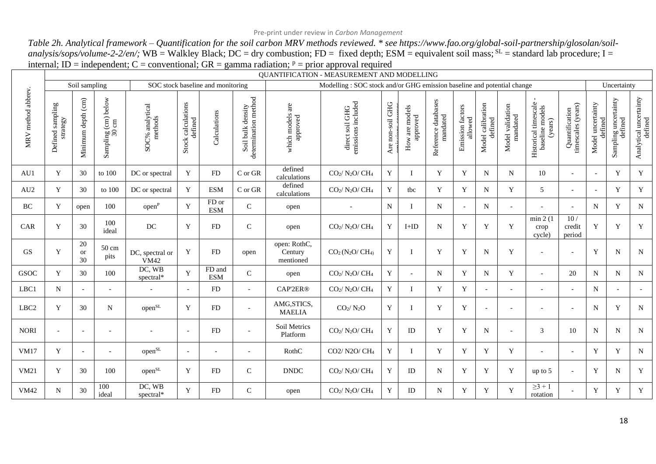*Table 2h. Analytical framework – Quantification for the soil carbon MRV methods reviewed. \* see https://www.fao.org/global-soil-partnership/glosolan/soilanalysis/sops/volume-2-2/en/;* WB = Walkley Black; DC = dry combustion; FD = fixed depth; ESM = equivalent soil mass; <sup>SL</sup> = standard lab procedure; I = internal; ID = independent; C = conventional; GR = gamma radiation;  $P = prior$  approval required

|                    |                                                                            |                          |                              |                                     |                               |                                   |                                           |                                      | <b>OUANTIFICATION - MEASUREMENT AND MODELLING</b>                      |                  |                            |                                 |                             |                              |                              |                                                    |                                      |                              |                                          |                                   |
|--------------------|----------------------------------------------------------------------------|--------------------------|------------------------------|-------------------------------------|-------------------------------|-----------------------------------|-------------------------------------------|--------------------------------------|------------------------------------------------------------------------|------------------|----------------------------|---------------------------------|-----------------------------|------------------------------|------------------------------|----------------------------------------------------|--------------------------------------|------------------------------|------------------------------------------|-----------------------------------|
|                    |                                                                            | Soil sampling            |                              |                                     |                               | SOC stock baseline and monitoring |                                           |                                      | Modelling: SOC stock and/or GHG emission baseline and potential change |                  |                            |                                 |                             |                              |                              |                                                    |                                      |                              | Uncertainty                              |                                   |
| MRV method abbrev. | $\operatorname*{sampling}% \left( \mathcal{M}\right)$<br>rategy<br>Defined | Minimum depth (cm)       | Sampling (cm) below<br>30 cm | $\mathrm{SOC}\%$ analytical methods | Stock calculations<br>defined | Calculations                      | determination method<br>Soil bulk density | which models are<br>approved         | emissions included<br>direct soil GHG                                  | Are non-soil GHG | How are models<br>approved | Reference databases<br>mandated | Emission factors<br>allowed | Model calibration<br>defined | Model validation<br>mandated | Historical timescale<br>baseline models<br>(years) | timescales (years)<br>Quantification | Model uncertainty<br>defined | uncertainty<br>Sampling uncer<br>defined | Analytical uncertainty<br>defined |
| AU1                | Y                                                                          | 30                       | to 100                       | DC or spectral                      | Y                             | <b>FD</b>                         | C or GR                                   | defined<br>calculations              | $CO2/ N2O/CH4$                                                         | Y                | T                          | Y                               | Y                           | N                            | $\mathbf N$                  | 10                                                 | $\overline{a}$                       | $\mathcal{L}$                | Y                                        | Y                                 |
| AU <sub>2</sub>    | Y                                                                          | 30                       | to 100                       | DC or spectral                      | Y                             | <b>ESM</b>                        | $\mathrm{C}$ or $\mathrm{GR}$             | defined<br>calculations              | $CO2/ N2O/CH4$                                                         | Y                | tbc                        | Y                               | Y                           | N                            | Y                            | 5                                                  | $\overline{a}$                       | $\sim$                       | Y                                        | Y                                 |
| <b>BC</b>          | Y                                                                          | open                     | 100                          | open <sup>P</sup>                   | Y                             | FD or<br><b>ESM</b>               | $\mathbf{C}$                              | open                                 |                                                                        | N                |                            | N                               |                             | N                            |                              |                                                    | $\overline{a}$                       | N                            | Y                                        | N                                 |
| CAR                | Y                                                                          | 30                       | 100<br>ideal                 | $DC$                                | $\mathbf Y$                   | FD                                | $\mathbf C$                               | open                                 | $CO2/ N2O/CH4$                                                         | Y                | $I+ID$                     | $\mathbf N$                     | Y                           | Y                            | $\mathbf Y$                  | min 2(1)<br>crop<br>cycle)                         | 10/<br>credit<br>period              | $\mathbf Y$                  | Y                                        | $\mathbf Y$                       |
| GS                 | Y                                                                          | 20<br><b>or</b><br>30    | 50 cm<br>pits                | DC, spectral or<br><b>VM42</b>      | Y                             | <b>FD</b>                         | open                                      | open: RothC,<br>Century<br>mentioned | $CO2 (N2O/CH4)$                                                        | Y                | -1                         | Y                               | Y                           | N                            | Y                            | $\sim$                                             | $\overline{a}$                       | Y                            | N                                        | N                                 |
| GSOC               | Y                                                                          | 30                       | 100                          | DC, WB<br>spectral*                 | Y                             | FD and<br><b>ESM</b>              | $\overline{C}$                            | open                                 | $CO2/ N2O/CH4$                                                         | Y                |                            | N                               | Y                           | N                            | Y                            | $\sim$                                             | 20                                   | N                            | N                                        | N                                 |
| LBC1               | N                                                                          | $\sim$                   | $\blacksquare$               |                                     | $\overline{\phantom{a}}$      | <b>FD</b>                         |                                           | CAP'2ER®                             | $CO2/ N2O/ CH4$                                                        | Y                | $\mathbf I$                | Y                               | Y                           |                              |                              |                                                    |                                      | $\mathbf N$                  |                                          | $\sim$                            |
| LBC <sub>2</sub>   | Y                                                                          | 30                       | N                            | open <sub>SL</sub>                  | Y                             | <b>FD</b>                         | $\overline{\phantom{a}}$                  | AMG, STICS,<br><b>MAELIA</b>         | CO <sub>2</sub> / N <sub>2</sub> O                                     | Y                | I                          | Y                               | Y                           | $\overline{\phantom{a}}$     | $\overline{\phantom{a}}$     |                                                    | $\overline{a}$                       | N                            | Y                                        | N                                 |
| <b>NORI</b>        | $\overline{\phantom{a}}$                                                   | $\overline{\phantom{a}}$ | $\overline{\phantom{a}}$     |                                     | $\overline{\phantom{a}}$      | <b>FD</b>                         | $\overline{\phantom{a}}$                  | Soil Metrics<br>Platform             | $CO2/ N2O/CH4$                                                         | Y                | ID                         | Y                               | Y                           | N                            | $\overline{\phantom{a}}$     | 3                                                  | 10                                   | N                            | N                                        | N                                 |
| <b>VM17</b>        | Y                                                                          | $\sim$                   | $\overline{\phantom{a}}$     | $\text{open}^{\text{SL}}$           | $\overline{\phantom{a}}$      | $\overline{a}$                    | $\overline{\phantom{0}}$                  | RothC                                | CO2/ N2O/ CH <sub>4</sub>                                              | Y                | Т                          | Y                               | Y                           | Y                            | Y                            | $\overline{a}$                                     | $\overline{a}$                       | Y                            | Y                                        | $\mathbf N$                       |
| VM21               | Y                                                                          | 30                       | 100                          | open <sup>SL</sup>                  | Y                             | <b>FD</b>                         | $\mathbf C$                               | <b>DNDC</b>                          | $CO2/ N2O/CH4$                                                         | Y                | ID                         | N                               | Y                           | Y                            | Y                            | up to 5                                            | $\overline{a}$                       | Y                            | N                                        | Y                                 |
| <b>VM42</b>        | N                                                                          | 30                       | 100<br>ideal                 | DC, WB<br>spectral*                 | Y                             | FD                                | $\mathbf C$                               | open                                 | $CO2/ N2O/ CH4$                                                        | Y                | ID                         | N                               | Y                           | Y                            | Y                            | $\geq 3 + 1$<br>rotation                           | $\blacksquare$                       | Y                            | Y                                        | Y                                 |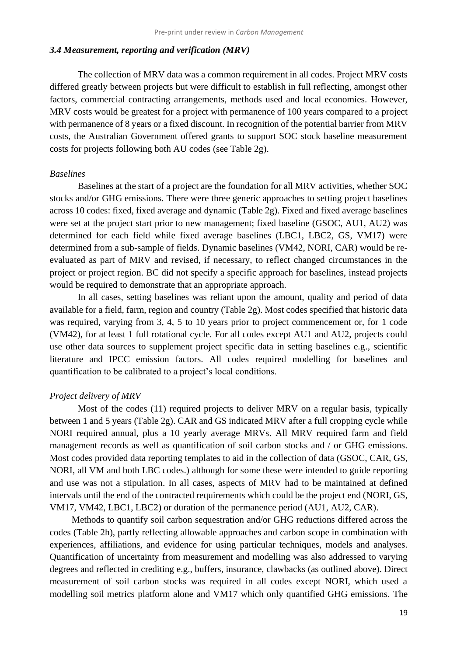#### *3.4 Measurement, reporting and verification (MRV)*

The collection of MRV data was a common requirement in all codes. Project MRV costs differed greatly between projects but were difficult to establish in full reflecting, amongst other factors, commercial contracting arrangements, methods used and local economies. However, MRV costs would be greatest for a project with permanence of 100 years compared to a project with permanence of 8 years or a fixed discount. In recognition of the potential barrier from MRV costs, the Australian Government offered grants to support SOC stock baseline measurement costs for projects following both AU codes (see Table 2g).

#### *Baselines*

Baselines at the start of a project are the foundation for all MRV activities, whether SOC stocks and/or GHG emissions. There were three generic approaches to setting project baselines across 10 codes: fixed, fixed average and dynamic (Table 2g). Fixed and fixed average baselines were set at the project start prior to new management; fixed baseline (GSOC, AU1, AU2) was determined for each field while fixed average baselines (LBC1, LBC2, GS, VM17) were determined from a sub-sample of fields. Dynamic baselines (VM42, NORI, CAR) would be reevaluated as part of MRV and revised, if necessary, to reflect changed circumstances in the project or project region. BC did not specify a specific approach for baselines, instead projects would be required to demonstrate that an appropriate approach.

In all cases, setting baselines was reliant upon the amount, quality and period of data available for a field, farm, region and country (Table 2g). Most codes specified that historic data was required, varying from 3, 4, 5 to 10 years prior to project commencement or, for 1 code (VM42), for at least 1 full rotational cycle. For all codes except AU1 and AU2, projects could use other data sources to supplement project specific data in setting baselines e.g., scientific literature and IPCC emission factors. All codes required modelling for baselines and quantification to be calibrated to a project's local conditions.

#### *Project delivery of MRV*

Most of the codes (11) required projects to deliver MRV on a regular basis, typically between 1 and 5 years (Table 2g). CAR and GS indicated MRV after a full cropping cycle while NORI required annual, plus a 10 yearly average MRVs. All MRV required farm and field management records as well as quantification of soil carbon stocks and / or GHG emissions. Most codes provided data reporting templates to aid in the collection of data (GSOC, CAR, GS, NORI, all VM and both LBC codes.) although for some these were intended to guide reporting and use was not a stipulation. In all cases, aspects of MRV had to be maintained at defined intervals until the end of the contracted requirements which could be the project end (NORI, GS, VM17, VM42, LBC1, LBC2) or duration of the permanence period (AU1, AU2, CAR).

Methods to quantify soil carbon sequestration and/or GHG reductions differed across the codes (Table 2h), partly reflecting allowable approaches and carbon scope in combination with experiences, affiliations, and evidence for using particular techniques, models and analyses. Quantification of uncertainty from measurement and modelling was also addressed to varying degrees and reflected in crediting e.g., buffers, insurance, clawbacks (as outlined above). Direct measurement of soil carbon stocks was required in all codes except NORI, which used a modelling soil metrics platform alone and VM17 which only quantified GHG emissions. The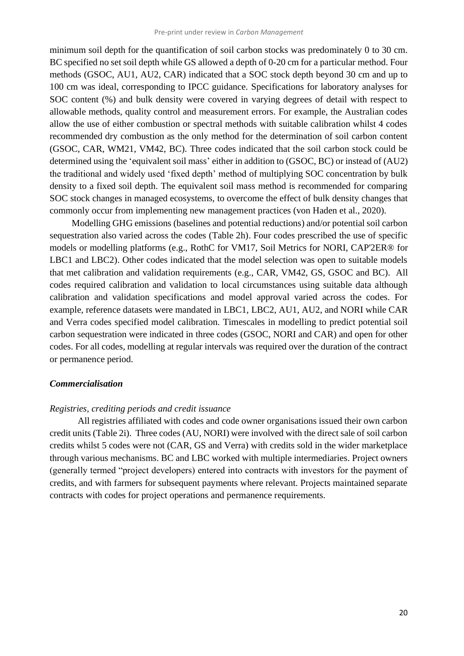minimum soil depth for the quantification of soil carbon stocks was predominately 0 to 30 cm. BC specified no set soil depth while GS allowed a depth of 0-20 cm for a particular method. Four methods (GSOC, AU1, AU2, CAR) indicated that a SOC stock depth beyond 30 cm and up to 100 cm was ideal, corresponding to IPCC guidance. Specifications for laboratory analyses for SOC content (%) and bulk density were covered in varying degrees of detail with respect to allowable methods, quality control and measurement errors. For example, the Australian codes allow the use of either combustion or spectral methods with suitable calibration whilst 4 codes recommended dry combustion as the only method for the determination of soil carbon content (GSOC, CAR, WM21, VM42, BC). Three codes indicated that the soil carbon stock could be determined using the 'equivalent soil mass' either in addition to (GSOC, BC) or instead of (AU2) the traditional and widely used 'fixed depth' method of multiplying SOC concentration by bulk density to a fixed soil depth. The equivalent soil mass method is recommended for comparing SOC stock changes in managed ecosystems, to overcome the effect of bulk density changes that commonly occur from implementing new management practices (von Haden et al., 2020).

Modelling GHG emissions (baselines and potential reductions) and/or potential soil carbon sequestration also varied across the codes (Table 2h). Four codes prescribed the use of specific models or modelling platforms (e.g., RothC for VM17, Soil Metrics for NORI, CAP'2ER® for LBC1 and LBC2). Other codes indicated that the model selection was open to suitable models that met calibration and validation requirements (e.g., CAR, VM42, GS, GSOC and BC). All codes required calibration and validation to local circumstances using suitable data although calibration and validation specifications and model approval varied across the codes. For example, reference datasets were mandated in LBC1, LBC2, AU1, AU2, and NORI while CAR and Verra codes specified model calibration. Timescales in modelling to predict potential soil carbon sequestration were indicated in three codes (GSOC, NORI and CAR) and open for other codes. For all codes, modelling at regular intervals was required over the duration of the contract or permanence period.

### *Commercialisation*

#### *Registries, crediting periods and credit issuance*

All registries affiliated with codes and code owner organisations issued their own carbon credit units (Table 2i). Three codes (AU, NORI) were involved with the direct sale of soil carbon credits whilst 5 codes were not (CAR, GS and Verra) with credits sold in the wider marketplace through various mechanisms. BC and LBC worked with multiple intermediaries. Project owners (generally termed "project developers) entered into contracts with investors for the payment of credits, and with farmers for subsequent payments where relevant. Projects maintained separate contracts with codes for project operations and permanence requirements.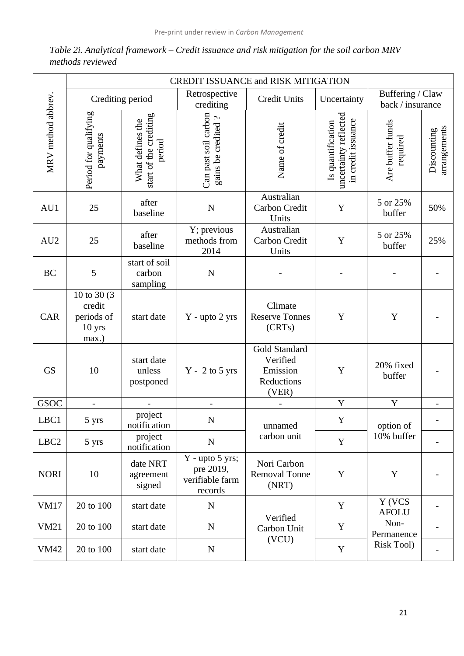|                    | <b>CREDIT ISSUANCE and RISK MITIGATION</b>              |                                                      |                                                              |                                                              |                                                                  |                                      |                             |  |  |  |
|--------------------|---------------------------------------------------------|------------------------------------------------------|--------------------------------------------------------------|--------------------------------------------------------------|------------------------------------------------------------------|--------------------------------------|-----------------------------|--|--|--|
|                    |                                                         | Crediting period                                     | Retrospective<br>crediting                                   | <b>Credit Units</b>                                          | Uncertainty                                                      | Buffering / Claw<br>back / insurance |                             |  |  |  |
| MRV method abbrev. | Period for qualifying<br>payments                       | start of the crediting<br>What defines the<br>period | Can past soil carbon<br>gains be credited?                   | Name of credit                                               | uncertainty reflected<br>in credit issuance<br>Is quantification | Are buffer funds<br>required         | arrangements<br>Discounting |  |  |  |
| AU1                | 25                                                      | after<br>baseline                                    | $\overline{N}$                                               | Australian<br>Carbon Credit<br>Units                         | Y                                                                | 5 or 25%<br>buffer                   | 50%                         |  |  |  |
| AU2                | 25                                                      | after<br>baseline                                    | Y; previous<br>methods from<br>2014                          | Australian<br>Carbon Credit<br>Units                         | Y                                                                | 5 or 25%<br>buffer                   | 25%                         |  |  |  |
| <b>BC</b>          | 5                                                       | start of soil<br>carbon<br>sampling                  | $\mathbf N$                                                  |                                                              |                                                                  |                                      |                             |  |  |  |
| CAR                | 10 to 30 (3)<br>credit<br>periods of<br>10 yrs<br>max.) | start date                                           | Y - upto 2 yrs                                               | Climate<br><b>Reserve Tonnes</b><br>(CRTs)                   | Y                                                                | Y                                    |                             |  |  |  |
| <b>GS</b>          | 10                                                      | start date<br>unless<br>postponed                    | $Y - 2$ to 5 yrs                                             | Gold Standard<br>Verified<br>Emission<br>Reductions<br>(VER) | Y                                                                | 20% fixed<br>buffer                  |                             |  |  |  |
| <b>GSOC</b>        |                                                         |                                                      |                                                              |                                                              | Y                                                                | Y                                    |                             |  |  |  |
| LBC1               | 5 yrs                                                   | project<br>notification                              | N                                                            | unnamed                                                      | Y                                                                | option of                            |                             |  |  |  |
| LBC <sub>2</sub>   | 5 yrs                                                   | project<br>notification                              | ${\bf N}$                                                    | carbon unit                                                  | Y                                                                | 10% buffer                           |                             |  |  |  |
| <b>NORI</b>        | 10                                                      | date NRT<br>agreement<br>signed                      | $Y - upto 5 yrs;$<br>pre 2019,<br>verifiable farm<br>records | Nori Carbon<br><b>Removal Tonne</b><br>(NRT)                 | Y                                                                | Y                                    |                             |  |  |  |
| <b>VM17</b>        | 20 to 100                                               | start date                                           | ${\bf N}$                                                    |                                                              | Y                                                                | Y (VCS<br><b>AFOLU</b>               |                             |  |  |  |
| <b>VM21</b>        | 20 to 100                                               | start date                                           | ${\bf N}$                                                    | Verified<br>Carbon Unit                                      | Y                                                                | Non-<br>Permanence                   |                             |  |  |  |
| <b>VM42</b>        | 20 to 100                                               | start date                                           | ${\bf N}$                                                    | (VCU)                                                        | $\mathbf Y$                                                      | <b>Risk Tool)</b>                    |                             |  |  |  |

*Table 2i. Analytical framework – Credit issuance and risk mitigation for the soil carbon MRV methods reviewed*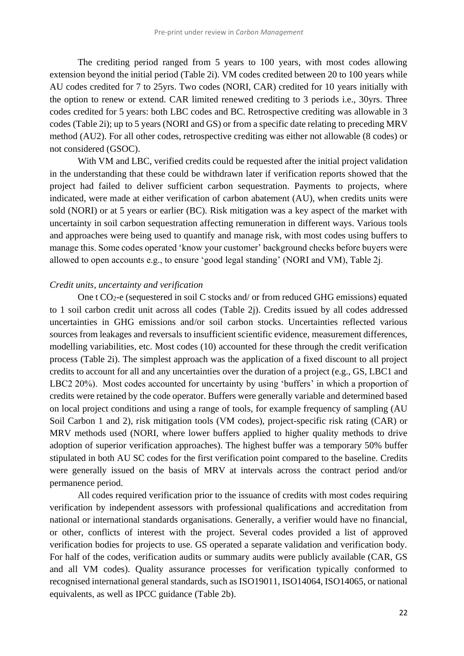The crediting period ranged from 5 years to 100 years, with most codes allowing extension beyond the initial period (Table 2i). VM codes credited between 20 to 100 years while AU codes credited for 7 to 25yrs. Two codes (NORI, CAR) credited for 10 years initially with the option to renew or extend. CAR limited renewed crediting to 3 periods i.e., 30yrs. Three codes credited for 5 years: both LBC codes and BC. Retrospective crediting was allowable in 3 codes (Table 2i); up to 5 years (NORI and GS) or from a specific date relating to preceding MRV method (AU2). For all other codes, retrospective crediting was either not allowable (8 codes) or not considered (GSOC).

With VM and LBC, verified credits could be requested after the initial project validation in the understanding that these could be withdrawn later if verification reports showed that the project had failed to deliver sufficient carbon sequestration. Payments to projects, where indicated, were made at either verification of carbon abatement (AU), when credits units were sold (NORI) or at 5 years or earlier (BC). Risk mitigation was a key aspect of the market with uncertainty in soil carbon sequestration affecting remuneration in different ways. Various tools and approaches were being used to quantify and manage risk, with most codes using buffers to manage this. Some codes operated 'know your customer' background checks before buyers were allowed to open accounts e.g., to ensure 'good legal standing' (NORI and VM), Table 2j.

#### *Credit units, uncertainty and verification*

One t CO2-e (sequestered in soil C stocks and/ or from reduced GHG emissions) equated to 1 soil carbon credit unit across all codes (Table 2j). Credits issued by all codes addressed uncertainties in GHG emissions and/or soil carbon stocks. Uncertainties reflected various sources from leakages and reversals to insufficient scientific evidence, measurement differences, modelling variabilities, etc. Most codes (10) accounted for these through the credit verification process (Table 2i). The simplest approach was the application of a fixed discount to all project credits to account for all and any uncertainties over the duration of a project (e.g., GS, LBC1 and LBC2 20%). Most codes accounted for uncertainty by using 'buffers' in which a proportion of credits were retained by the code operator. Buffers were generally variable and determined based on local project conditions and using a range of tools, for example frequency of sampling (AU Soil Carbon 1 and 2), risk mitigation tools (VM codes), project-specific risk rating (CAR) or MRV methods used (NORI, where lower buffers applied to higher quality methods to drive adoption of superior verification approaches). The highest buffer was a temporary 50% buffer stipulated in both AU SC codes for the first verification point compared to the baseline. Credits were generally issued on the basis of MRV at intervals across the contract period and/or permanence period.

All codes required verification prior to the issuance of credits with most codes requiring verification by independent assessors with professional qualifications and accreditation from national or international standards organisations. Generally, a verifier would have no financial, or other, conflicts of interest with the project. Several codes provided a list of approved verification bodies for projects to use. GS operated a separate validation and verification body. For half of the codes, verification audits or summary audits were publicly available (CAR, GS and all VM codes). Quality assurance processes for verification typically conformed to recognised international general standards, such as ISO19011, ISO14064, ISO14065, or national equivalents, as well as IPCC guidance (Table 2b).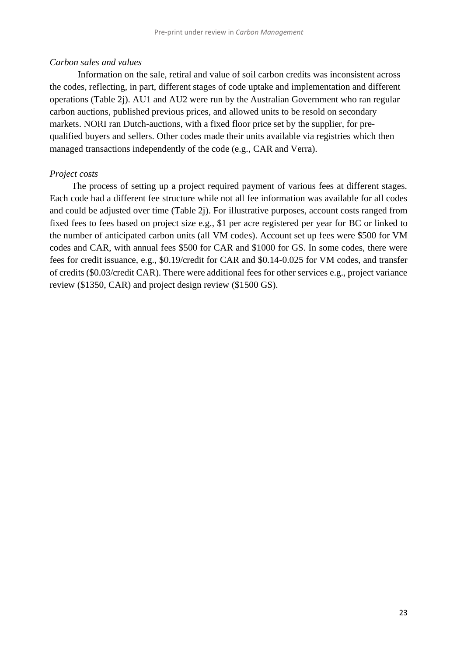#### *Carbon sales and values*

Information on the sale, retiral and value of soil carbon credits was inconsistent across the codes, reflecting, in part, different stages of code uptake and implementation and different operations (Table 2j). AU1 and AU2 were run by the Australian Government who ran regular carbon auctions, published previous prices, and allowed units to be resold on secondary markets. NORI ran Dutch-auctions, with a fixed floor price set by the supplier, for prequalified buyers and sellers. Other codes made their units available via registries which then managed transactions independently of the code (e.g., CAR and Verra).

#### *Project costs*

The process of setting up a project required payment of various fees at different stages. Each code had a different fee structure while not all fee information was available for all codes and could be adjusted over time (Table 2j). For illustrative purposes, account costs ranged from fixed fees to fees based on project size e.g., \$1 per acre registered per year for BC or linked to the number of anticipated carbon units (all VM codes). Account set up fees were \$500 for VM codes and CAR, with annual fees \$500 for CAR and \$1000 for GS. In some codes, there were fees for credit issuance, e.g., \$0.19/credit for CAR and \$0.14-0.025 for VM codes, and transfer of credits (\$0.03/credit CAR). There were additional fees for other services e.g., project variance review (\$1350, CAR) and project design review (\$1500 GS).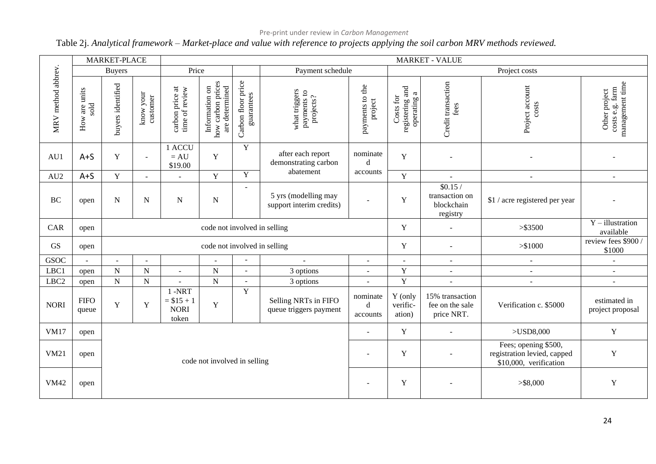## Pre-print under review in *Carbon Management*

## Table 2j. *Analytical framework – Market-place and value with reference to projects applying the soil carbon MRV methods reviewed.*

|                    | MARKET-PLACE                             |                              | <b>MARKET - VALUE</b> |                                                  |                                                       |                                  |                                                  |                                      |                                             |                                                     |                                                                               |                                                     |
|--------------------|------------------------------------------|------------------------------|-----------------------|--------------------------------------------------|-------------------------------------------------------|----------------------------------|--------------------------------------------------|--------------------------------------|---------------------------------------------|-----------------------------------------------------|-------------------------------------------------------------------------------|-----------------------------------------------------|
| MRV method abbrev. |                                          | <b>Buyers</b>                |                       | Price                                            |                                                       |                                  | Payment schedule                                 |                                      | Project costs                               |                                                     |                                                                               |                                                     |
|                    | v are units<br>sold<br>$_{\mathrm{How}}$ | buyers identified            | know your<br>customer | carbon price at<br>time of review                | how carbon prices<br>are determined<br>Information on | Carbon floor price<br>guarantees | what triggers<br>payments to<br>projects?        | payments to the<br>project           | registering and<br>operating a<br>Costs for | Credit transaction<br>fees                          | Project account<br>costs                                                      | costs e.g. farm<br>management time<br>Other project |
| AU1                | $A + S$                                  | Y                            | $\sim$                | 1 ACCU<br>$= AU$<br>\$19.00                      | $\mathbf Y$                                           | $\mathbf Y$                      | after each report<br>demonstrating carbon        | nominate<br>Y<br>$\blacksquare$<br>d |                                             |                                                     |                                                                               |                                                     |
| AU2                | $A + S$                                  | Y                            | $\sim$                |                                                  | Y                                                     | $\mathbf Y$                      | abatement                                        | accounts                             | Y                                           | $\sim$                                              | $\blacksquare$                                                                | $\sim$                                              |
| BC                 | open                                     | $\mathbf N$                  | N                     | $\mathbf N$                                      | ${\bf N}$                                             |                                  | 5 yrs (modelling may<br>support interim credits) |                                      | $\mathbf Y$                                 | \$0.15/<br>transaction on<br>blockchain<br>registry | \$1 / acre registered per year                                                |                                                     |
| CAR                | open                                     | code not involved in selling |                       |                                                  |                                                       |                                  |                                                  |                                      | Y                                           | $\sim$                                              | > \$3500                                                                      | $Y$ – illustration<br>available                     |
| GS                 | open                                     | code not involved in selling |                       |                                                  |                                                       |                                  |                                                  |                                      | $\mathbf Y$                                 |                                                     | > \$1000                                                                      | review fees \$900 /<br>\$1000                       |
| <b>GSOC</b>        | $\equiv$                                 | $\sim$                       | $\sim$                |                                                  |                                                       | $\blacksquare$                   | $\sim$                                           | $\omega$                             | $\sim$                                      | $\sim$                                              | $\sim$                                                                        | $\sim$                                              |
| LBC1               | open                                     | $\overline{N}$               | ${\bf N}$             | $\overline{\phantom{a}}$                         | ${\bf N}$                                             | $\sim$                           | 3 options                                        | $\overline{\phantom{a}}$             | $\mathbf Y$                                 | $\overline{\phantom{a}}$                            | $\overline{\phantom{a}}$                                                      | $\blacksquare$                                      |
| LBC <sub>2</sub>   | open                                     | ${\bf N}$                    | ${\bf N}$             | $\overline{\phantom{a}}$                         | ${\bf N}$                                             | $\sim$                           | 3 options                                        | $\overline{\phantom{a}}$             | $\mathbf Y$                                 | $\equiv$                                            | $\overline{\phantom{a}}$                                                      | $\sim$                                              |
| <b>NORI</b>        | <b>FIFO</b><br>queue                     | Y                            | $\mathbf Y$           | $1 - NRT$<br>$= $15 + 1$<br><b>NORI</b><br>token | Y                                                     | Y                                | Selling NRTs in FIFO<br>queue triggers payment   | nominate<br>d<br>accounts            | Y (only<br>verific-<br>ation)               | 15% transaction<br>fee on the sale<br>price NRT.    | Verification c. \$5000                                                        | estimated in<br>project proposal                    |
| <b>VM17</b>        | open                                     |                              |                       |                                                  |                                                       |                                  |                                                  |                                      | $\mathbf Y$                                 | $\sim$                                              | >USD8,000                                                                     | $\mathbf Y$                                         |
| <b>VM21</b>        | open                                     | code not involved in selling |                       |                                                  |                                                       |                                  |                                                  |                                      | $\mathbf Y$                                 |                                                     | Fees; opening \$500,<br>registration levied, capped<br>\$10,000, verification | $\mathbf Y$                                         |
| <b>VM42</b>        | open                                     |                              |                       |                                                  |                                                       |                                  |                                                  | $\overline{\phantom{a}}$             | $\mathbf Y$                                 |                                                     | > \$8,000                                                                     | $\mathbf Y$                                         |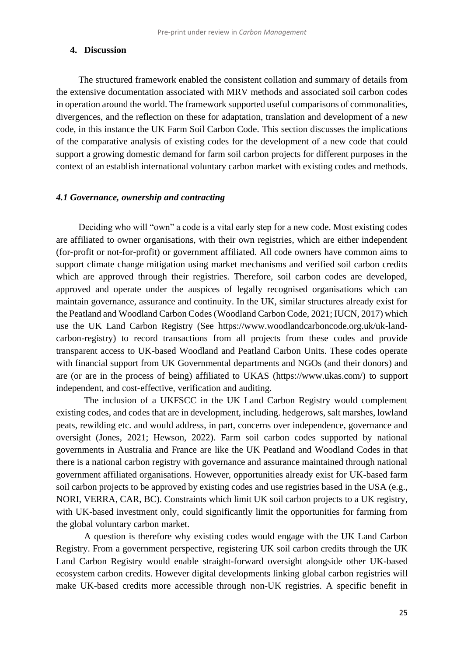#### **4. Discussion**

The structured framework enabled the consistent collation and summary of details from the extensive documentation associated with MRV methods and associated soil carbon codes in operation around the world. The framework supported useful comparisons of commonalities, divergences, and the reflection on these for adaptation, translation and development of a new code, in this instance the UK Farm Soil Carbon Code. This section discusses the implications of the comparative analysis of existing codes for the development of a new code that could support a growing domestic demand for farm soil carbon projects for different purposes in the context of an establish international voluntary carbon market with existing codes and methods.

#### *4.1 Governance, ownership and contracting*

Deciding who will "own" a code is a vital early step for a new code. Most existing codes are affiliated to owner organisations, with their own registries, which are either independent (for-profit or not-for-profit) or government affiliated. All code owners have common aims to support climate change mitigation using market mechanisms and verified soil carbon credits which are approved through their registries. Therefore, soil carbon codes are developed, approved and operate under the auspices of legally recognised organisations which can maintain governance, assurance and continuity. In the UK, similar structures already exist for the Peatland and Woodland Carbon Codes (Woodland Carbon Code, 2021; IUCN, 2017) which use the UK Land Carbon Registry (See https://www.woodlandcarboncode.org.uk/uk-landcarbon-registry) to record transactions from all projects from these codes and provide transparent access to UK-based Woodland and Peatland Carbon Units. These codes operate with financial support from UK Governmental departments and NGOs (and their donors) and are (or are in the process of being) affiliated to UKAS (https://www.ukas.com/) to support independent, and cost-effective, verification and auditing.

The inclusion of a UKFSCC in the UK Land Carbon Registry would complement existing codes, and codes that are in development, including. hedgerows, salt marshes, lowland peats, rewilding etc. and would address, in part, concerns over independence, governance and oversight (Jones, 2021; Hewson, 2022). Farm soil carbon codes supported by national governments in Australia and France are like the UK Peatland and Woodland Codes in that there is a national carbon registry with governance and assurance maintained through national government affiliated organisations. However, opportunities already exist for UK-based farm soil carbon projects to be approved by existing codes and use registries based in the USA (e.g., NORI, VERRA, CAR, BC). Constraints which limit UK soil carbon projects to a UK registry, with UK-based investment only, could significantly limit the opportunities for farming from the global voluntary carbon market.

A question is therefore why existing codes would engage with the UK Land Carbon Registry. From a government perspective, registering UK soil carbon credits through the UK Land Carbon Registry would enable straight-forward oversight alongside other UK-based ecosystem carbon credits. However digital developments linking global carbon registries will make UK-based credits more accessible through non-UK registries. A specific benefit in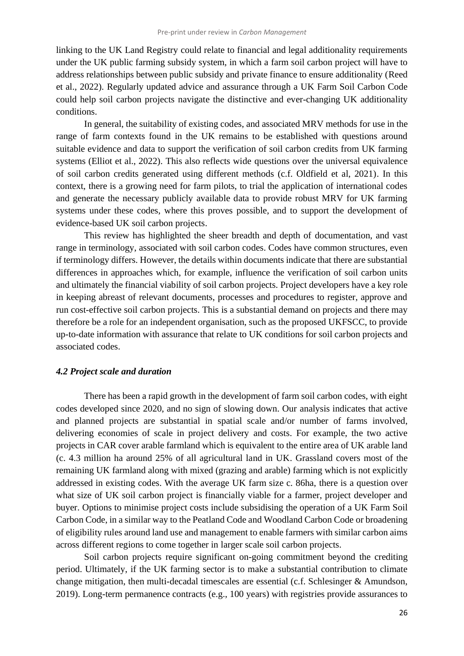linking to the UK Land Registry could relate to financial and legal additionality requirements under the UK public farming subsidy system, in which a farm soil carbon project will have to address relationships between public subsidy and private finance to ensure additionality (Reed et al., 2022). Regularly updated advice and assurance through a UK Farm Soil Carbon Code could help soil carbon projects navigate the distinctive and ever-changing UK additionality conditions.

In general, the suitability of existing codes, and associated MRV methods for use in the range of farm contexts found in the UK remains to be established with questions around suitable evidence and data to support the verification of soil carbon credits from UK farming systems (Elliot et al., 2022). This also reflects wide questions over the universal equivalence of soil carbon credits generated using different methods (c.f. Oldfield et al, 2021). In this context, there is a growing need for farm pilots, to trial the application of international codes and generate the necessary publicly available data to provide robust MRV for UK farming systems under these codes, where this proves possible, and to support the development of evidence-based UK soil carbon projects.

This review has highlighted the sheer breadth and depth of documentation, and vast range in terminology, associated with soil carbon codes. Codes have common structures, even if terminology differs. However, the details within documents indicate that there are substantial differences in approaches which, for example, influence the verification of soil carbon units and ultimately the financial viability of soil carbon projects. Project developers have a key role in keeping abreast of relevant documents, processes and procedures to register, approve and run cost-effective soil carbon projects. This is a substantial demand on projects and there may therefore be a role for an independent organisation, such as the proposed UKFSCC, to provide up-to-date information with assurance that relate to UK conditions for soil carbon projects and associated codes.

#### *4.2 Project scale and duration*

There has been a rapid growth in the development of farm soil carbon codes, with eight codes developed since 2020, and no sign of slowing down. Our analysis indicates that active and planned projects are substantial in spatial scale and/or number of farms involved, delivering economies of scale in project delivery and costs. For example, the two active projects in CAR cover arable farmland which is equivalent to the entire area of UK arable land (c. 4.3 million ha around 25% of all agricultural land in UK. Grassland covers most of the remaining UK farmland along with mixed (grazing and arable) farming which is not explicitly addressed in existing codes. With the average UK farm size c. 86ha, there is a question over what size of UK soil carbon project is financially viable for a farmer, project developer and buyer. Options to minimise project costs include subsidising the operation of a UK Farm Soil Carbon Code, in a similar way to the Peatland Code and Woodland Carbon Code or broadening of eligibility rules around land use and management to enable farmers with similar carbon aims across different regions to come together in larger scale soil carbon projects.

Soil carbon projects require significant on-going commitment beyond the crediting period. Ultimately, if the UK farming sector is to make a substantial contribution to climate change mitigation, then multi-decadal timescales are essential (c.f. Schlesinger & Amundson, 2019). Long-term permanence contracts (e.g., 100 years) with registries provide assurances to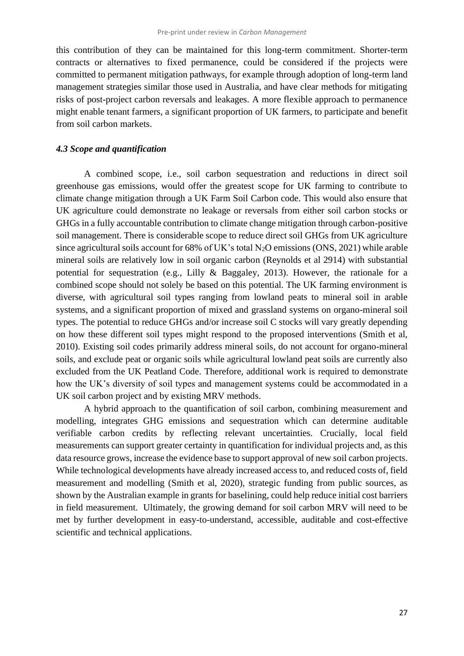this contribution of they can be maintained for this long-term commitment. Shorter-term contracts or alternatives to fixed permanence, could be considered if the projects were committed to permanent mitigation pathways, for example through adoption of long-term land management strategies similar those used in Australia, and have clear methods for mitigating risks of post-project carbon reversals and leakages. A more flexible approach to permanence might enable tenant farmers, a significant proportion of UK farmers, to participate and benefit from soil carbon markets.

## *4.3 Scope and quantification*

A combined scope, i.e., soil carbon sequestration and reductions in direct soil greenhouse gas emissions, would offer the greatest scope for UK farming to contribute to climate change mitigation through a UK Farm Soil Carbon code. This would also ensure that UK agriculture could demonstrate no leakage or reversals from either soil carbon stocks or GHGs in a fully accountable contribution to climate change mitigation through carbon-positive soil management. There is considerable scope to reduce direct soil GHGs from UK agriculture since agricultural soils account for  $68\%$  of UK's total N<sub>2</sub>O emissions (ONS, 2021) while arable mineral soils are relatively low in soil organic carbon (Reynolds et al 2914) with substantial potential for sequestration (e.g., Lilly & Baggaley, 2013). However, the rationale for a combined scope should not solely be based on this potential. The UK farming environment is diverse, with agricultural soil types ranging from lowland peats to mineral soil in arable systems, and a significant proportion of mixed and grassland systems on organo-mineral soil types. The potential to reduce GHGs and/or increase soil C stocks will vary greatly depending on how these different soil types might respond to the proposed interventions (Smith et al, 2010). Existing soil codes primarily address mineral soils, do not account for organo-mineral soils, and exclude peat or organic soils while agricultural lowland peat soils are currently also excluded from the UK Peatland Code. Therefore, additional work is required to demonstrate how the UK's diversity of soil types and management systems could be accommodated in a UK soil carbon project and by existing MRV methods.

A hybrid approach to the quantification of soil carbon, combining measurement and modelling, integrates GHG emissions and sequestration which can determine auditable verifiable carbon credits by reflecting relevant uncertainties. Crucially, local field measurements can support greater certainty in quantification for individual projects and, as this data resource grows, increase the evidence base to support approval of new soil carbon projects. While technological developments have already increased access to, and reduced costs of, field measurement and modelling (Smith et al, 2020), strategic funding from public sources, as shown by the Australian example in grants for baselining, could help reduce initial cost barriers in field measurement. Ultimately, the growing demand for soil carbon MRV will need to be met by further development in easy-to-understand, accessible, auditable and cost-effective scientific and technical applications.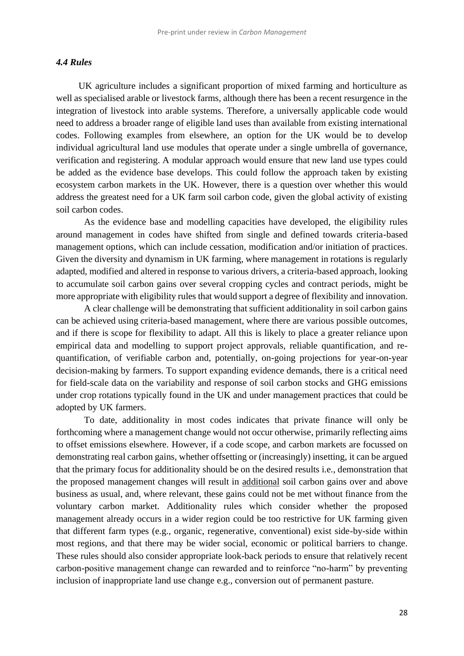#### *4.4 Rules*

UK agriculture includes a significant proportion of mixed farming and horticulture as well as specialised arable or livestock farms, although there has been a recent resurgence in the integration of livestock into arable systems. Therefore, a universally applicable code would need to address a broader range of eligible land uses than available from existing international codes. Following examples from elsewhere, an option for the UK would be to develop individual agricultural land use modules that operate under a single umbrella of governance, verification and registering. A modular approach would ensure that new land use types could be added as the evidence base develops. This could follow the approach taken by existing ecosystem carbon markets in the UK. However, there is a question over whether this would address the greatest need for a UK farm soil carbon code, given the global activity of existing soil carbon codes.

As the evidence base and modelling capacities have developed, the eligibility rules around management in codes have shifted from single and defined towards criteria-based management options, which can include cessation, modification and/or initiation of practices. Given the diversity and dynamism in UK farming, where management in rotations is regularly adapted, modified and altered in response to various drivers, a criteria-based approach, looking to accumulate soil carbon gains over several cropping cycles and contract periods, might be more appropriate with eligibility rules that would support a degree of flexibility and innovation.

A clear challenge will be demonstrating that sufficient additionality in soil carbon gains can be achieved using criteria-based management, where there are various possible outcomes, and if there is scope for flexibility to adapt. All this is likely to place a greater reliance upon empirical data and modelling to support project approvals, reliable quantification, and requantification, of verifiable carbon and, potentially, on-going projections for year-on-year decision-making by farmers. To support expanding evidence demands, there is a critical need for field-scale data on the variability and response of soil carbon stocks and GHG emissions under crop rotations typically found in the UK and under management practices that could be adopted by UK farmers.

To date, additionality in most codes indicates that private finance will only be forthcoming where a management change would not occur otherwise, primarily reflecting aims to offset emissions elsewhere. However, if a code scope, and carbon markets are focussed on demonstrating real carbon gains, whether offsetting or (increasingly) insetting, it can be argued that the primary focus for additionality should be on the desired results i.e., demonstration that the proposed management changes will result in additional soil carbon gains over and above business as usual, and, where relevant, these gains could not be met without finance from the voluntary carbon market. Additionality rules which consider whether the proposed management already occurs in a wider region could be too restrictive for UK farming given that different farm types (e.g., organic, regenerative, conventional) exist side-by-side within most regions, and that there may be wider social, economic or political barriers to change. These rules should also consider appropriate look-back periods to ensure that relatively recent carbon-positive management change can rewarded and to reinforce "no-harm" by preventing inclusion of inappropriate land use change e.g., conversion out of permanent pasture.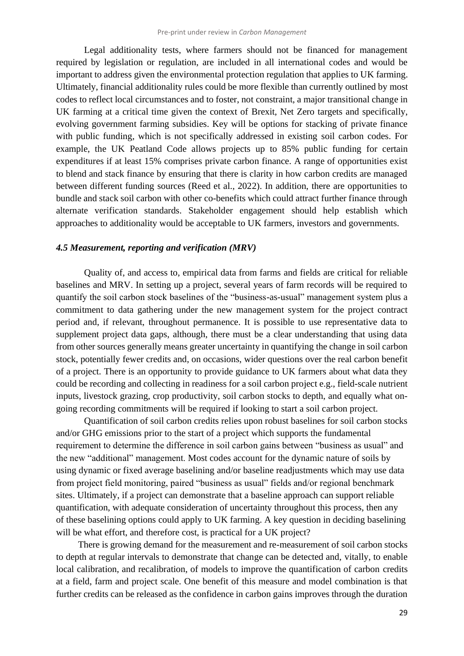Legal additionality tests, where farmers should not be financed for management required by legislation or regulation, are included in all international codes and would be important to address given the environmental protection regulation that applies to UK farming. Ultimately, financial additionality rules could be more flexible than currently outlined by most codes to reflect local circumstances and to foster, not constraint, a major transitional change in UK farming at a critical time given the context of Brexit, Net Zero targets and specifically, evolving government farming subsidies. Key will be options for stacking of private finance with public funding, which is not specifically addressed in existing soil carbon codes. For example, the UK Peatland Code allows projects up to 85% public funding for certain expenditures if at least 15% comprises private carbon finance. A range of opportunities exist to blend and stack finance by ensuring that there is clarity in how carbon credits are managed between different funding sources (Reed et al., 2022). In addition, there are opportunities to bundle and stack soil carbon with other co-benefits which could attract further finance through alternate verification standards. Stakeholder engagement should help establish which approaches to additionality would be acceptable to UK farmers, investors and governments.

#### *4.5 Measurement, reporting and verification (MRV)*

Quality of, and access to, empirical data from farms and fields are critical for reliable baselines and MRV. In setting up a project, several years of farm records will be required to quantify the soil carbon stock baselines of the "business-as-usual" management system plus a commitment to data gathering under the new management system for the project contract period and, if relevant, throughout permanence. It is possible to use representative data to supplement project data gaps, although, there must be a clear understanding that using data from other sources generally means greater uncertainty in quantifying the change in soil carbon stock, potentially fewer credits and, on occasions, wider questions over the real carbon benefit of a project. There is an opportunity to provide guidance to UK farmers about what data they could be recording and collecting in readiness for a soil carbon project e.g., field-scale nutrient inputs, livestock grazing, crop productivity, soil carbon stocks to depth, and equally what ongoing recording commitments will be required if looking to start a soil carbon project.

Quantification of soil carbon credits relies upon robust baselines for soil carbon stocks and/or GHG emissions prior to the start of a project which supports the fundamental requirement to determine the difference in soil carbon gains between "business as usual" and the new "additional" management. Most codes account for the dynamic nature of soils by using dynamic or fixed average baselining and/or baseline readjustments which may use data from project field monitoring, paired "business as usual" fields and/or regional benchmark sites. Ultimately, if a project can demonstrate that a baseline approach can support reliable quantification, with adequate consideration of uncertainty throughout this process, then any of these baselining options could apply to UK farming. A key question in deciding baselining will be what effort, and therefore cost, is practical for a UK project?

There is growing demand for the measurement and re-measurement of soil carbon stocks to depth at regular intervals to demonstrate that change can be detected and, vitally, to enable local calibration, and recalibration, of models to improve the quantification of carbon credits at a field, farm and project scale. One benefit of this measure and model combination is that further credits can be released as the confidence in carbon gains improves through the duration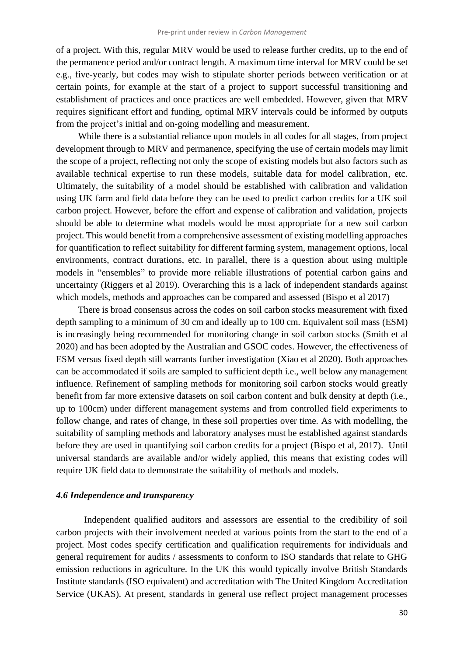of a project. With this, regular MRV would be used to release further credits, up to the end of the permanence period and/or contract length. A maximum time interval for MRV could be set e.g., five-yearly, but codes may wish to stipulate shorter periods between verification or at certain points, for example at the start of a project to support successful transitioning and establishment of practices and once practices are well embedded. However, given that MRV requires significant effort and funding, optimal MRV intervals could be informed by outputs from the project's initial and on-going modelling and measurement.

While there is a substantial reliance upon models in all codes for all stages, from project development through to MRV and permanence, specifying the use of certain models may limit the scope of a project, reflecting not only the scope of existing models but also factors such as available technical expertise to run these models, suitable data for model calibration, etc. Ultimately, the suitability of a model should be established with calibration and validation using UK farm and field data before they can be used to predict carbon credits for a UK soil carbon project. However, before the effort and expense of calibration and validation, projects should be able to determine what models would be most appropriate for a new soil carbon project. This would benefit from a comprehensive assessment of existing modelling approaches for quantification to reflect suitability for different farming system, management options, local environments, contract durations, etc. In parallel, there is a question about using multiple models in "ensembles" to provide more reliable illustrations of potential carbon gains and uncertainty (Riggers et al 2019). Overarching this is a lack of independent standards against which models, methods and approaches can be compared and assessed (Bispo et al 2017)

There is broad consensus across the codes on soil carbon stocks measurement with fixed depth sampling to a minimum of 30 cm and ideally up to 100 cm. Equivalent soil mass (ESM) is increasingly being recommended for monitoring change in soil carbon stocks (Smith et al 2020) and has been adopted by the Australian and GSOC codes. However, the effectiveness of ESM versus fixed depth still warrants further investigation (Xiao et al 2020). Both approaches can be accommodated if soils are sampled to sufficient depth i.e., well below any management influence. Refinement of sampling methods for monitoring soil carbon stocks would greatly benefit from far more extensive datasets on soil carbon content and bulk density at depth (i.e., up to 100cm) under different management systems and from controlled field experiments to follow change, and rates of change, in these soil properties over time. As with modelling, the suitability of sampling methods and laboratory analyses must be established against standards before they are used in quantifying soil carbon credits for a project (Bispo et al, 2017). Until universal standards are available and/or widely applied, this means that existing codes will require UK field data to demonstrate the suitability of methods and models.

#### *4.6 Independence and transparency*

Independent qualified auditors and assessors are essential to the credibility of soil carbon projects with their involvement needed at various points from the start to the end of a project. Most codes specify certification and qualification requirements for individuals and general requirement for audits / assessments to conform to ISO standards that relate to GHG emission reductions in agriculture. In the UK this would typically involve British Standards Institute standards (ISO equivalent) and accreditation with The United Kingdom Accreditation Service (UKAS). At present, standards in general use reflect project management processes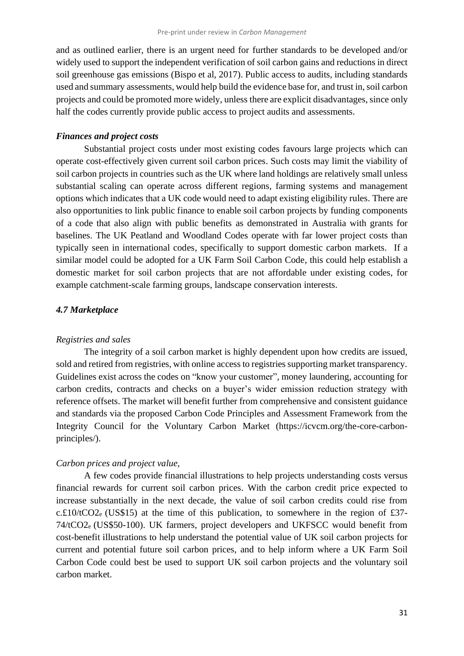and as outlined earlier, there is an urgent need for further standards to be developed and/or widely used to support the independent verification of soil carbon gains and reductions in direct soil greenhouse gas emissions (Bispo et al, 2017). Public access to audits, including standards used and summary assessments, would help build the evidence base for, and trust in, soil carbon projects and could be promoted more widely, unless there are explicit disadvantages, since only half the codes currently provide public access to project audits and assessments.

#### *Finances and project costs*

Substantial project costs under most existing codes favours large projects which can operate cost-effectively given current soil carbon prices. Such costs may limit the viability of soil carbon projects in countries such as the UK where land holdings are relatively small unless substantial scaling can operate across different regions, farming systems and management options which indicates that a UK code would need to adapt existing eligibility rules. There are also opportunities to link public finance to enable soil carbon projects by funding components of a code that also align with public benefits as demonstrated in Australia with grants for baselines. The UK Peatland and Woodland Codes operate with far lower project costs than typically seen in international codes, specifically to support domestic carbon markets. If a similar model could be adopted for a UK Farm Soil Carbon Code, this could help establish a domestic market for soil carbon projects that are not affordable under existing codes, for example catchment-scale farming groups, landscape conservation interests.

#### *4.7 Marketplace*

#### *Registries and sales*

The integrity of a soil carbon market is highly dependent upon how credits are issued, sold and retired from registries, with online access to registries supporting market transparency. Guidelines exist across the codes on "know your customer", money laundering, accounting for carbon credits, contracts and checks on a buyer's wider emission reduction strategy with reference offsets. The market will benefit further from comprehensive and consistent guidance and standards via the proposed Carbon Code Principles and Assessment Framework from the Integrity Council for the Voluntary Carbon Market (https://icvcm.org/the-core-carbonprinciples/).

### *Carbon prices and project value,*

A few codes provide financial illustrations to help projects understanding costs versus financial rewards for current soil carbon prices. With the carbon credit price expected to increase substantially in the next decade, the value of soil carbon credits could rise from c. $£10/tCO2e$  (US\$15) at the time of this publication, to somewhere in the region of £37-74/tCO2e (US\$50-100). UK farmers, project developers and UKFSCC would benefit from cost-benefit illustrations to help understand the potential value of UK soil carbon projects for current and potential future soil carbon prices, and to help inform where a UK Farm Soil Carbon Code could best be used to support UK soil carbon projects and the voluntary soil carbon market.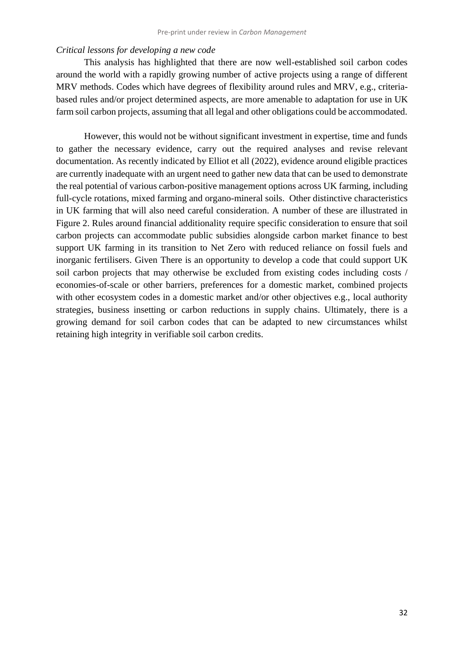#### *Critical lessons for developing a new code*

This analysis has highlighted that there are now well-established soil carbon codes around the world with a rapidly growing number of active projects using a range of different MRV methods. Codes which have degrees of flexibility around rules and MRV, e.g., criteriabased rules and/or project determined aspects, are more amenable to adaptation for use in UK farm soil carbon projects, assuming that all legal and other obligations could be accommodated.

However, this would not be without significant investment in expertise, time and funds to gather the necessary evidence, carry out the required analyses and revise relevant documentation. As recently indicated by Elliot et all (2022), evidence around eligible practices are currently inadequate with an urgent need to gather new data that can be used to demonstrate the real potential of various carbon-positive management options across UK farming, including full-cycle rotations, mixed farming and organo-mineral soils. Other distinctive characteristics in UK farming that will also need careful consideration. A number of these are illustrated in Figure 2. Rules around financial additionality require specific consideration to ensure that soil carbon projects can accommodate public subsidies alongside carbon market finance to best support UK farming in its transition to Net Zero with reduced reliance on fossil fuels and inorganic fertilisers. Given There is an opportunity to develop a code that could support UK soil carbon projects that may otherwise be excluded from existing codes including costs / economies-of-scale or other barriers, preferences for a domestic market, combined projects with other ecosystem codes in a domestic market and/or other objectives e.g., local authority strategies, business insetting or carbon reductions in supply chains. Ultimately, there is a growing demand for soil carbon codes that can be adapted to new circumstances whilst retaining high integrity in verifiable soil carbon credits.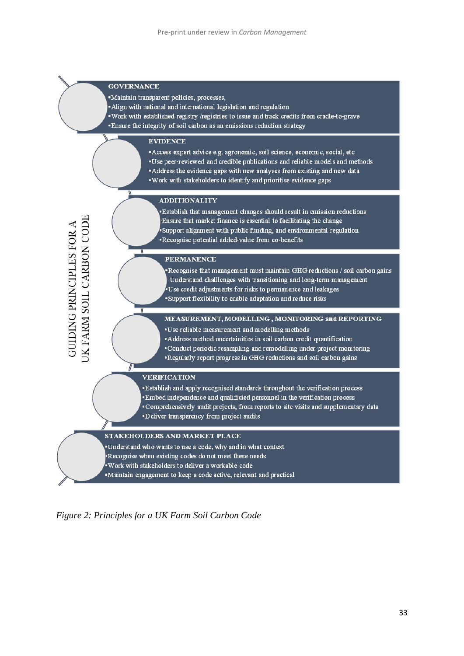#### **GOVERNANCE**

 $\overline{\mathfrak{n}}$ 

JK FARM SOIL CARBON CODE

**GUIDING PRINCIPLES FOR A** 

·Maintain transparent policies, processes,

•Align with national and international legislation and regulation

. Work with established registry /registries to issue and track credits from cradle-to-grave • Ensure the integrity of soil carbon as an emissions reduction strategy

#### **EVIDENCE**

• Access expert advice e.g. agronomic, soil science, economic, social, etc •Use peer-reviewed and credible publications and reliable models and methods

- Address the evidence gaps with new analyses from existing and new data
- . Work with stakeholders to identify and prioritise evidence gaps

#### **ADDITIONALITY**

Establish that management changes should result in emission reductions Ensure that market finance is essential to facilitating the change Support alignment with public funding, and environmental regulation \*Recognise potential added-value from co-benefits

#### **PERMANENCE**

Recognise that management must maintain GHG reductions / soil carbon gains Understand challlenges with transitioning and long-term management Use credit adjustments for risks to permanence and leakages . Support flexibility to enable adaptation and reduce risks

#### MEASUREMENT, MODELLING, MONITORING and REPORTING

•Use reliable measurement and modelling methods

• Address method uncertainities in soil carbon credit quantification

- Conduct periodic resampling and remodelling under project monitoring
- . Regularly report progress in GHG reductions and soil carbon gains

#### **VERIFICATION**

. Establish and apply recognised standards throughout the verification process .Embed independence and qualificied personnel in the verification process • Comprehensively audit projects, from reports to site visits and supplementary data •Deliver transparency from project audits

#### STAKEHOLDERS AND MARKET-PLACE

Understand who wants to use a code, why and in what context

Recognise when existing codes do not meet these needs

•Work with stakeholders to deliver a workable code

·Maintain engagement to keep a code active, relevant and practical

*Figure 2: Principles for a UK Farm Soil Carbon Code*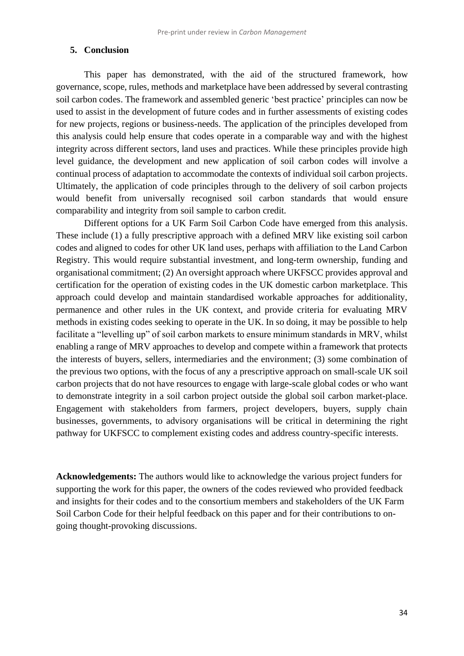#### **5. Conclusion**

This paper has demonstrated, with the aid of the structured framework, how governance, scope, rules, methods and marketplace have been addressed by several contrasting soil carbon codes. The framework and assembled generic 'best practice' principles can now be used to assist in the development of future codes and in further assessments of existing codes for new projects, regions or business-needs. The application of the principles developed from this analysis could help ensure that codes operate in a comparable way and with the highest integrity across different sectors, land uses and practices. While these principles provide high level guidance, the development and new application of soil carbon codes will involve a continual process of adaptation to accommodate the contexts of individual soil carbon projects. Ultimately, the application of code principles through to the delivery of soil carbon projects would benefit from universally recognised soil carbon standards that would ensure comparability and integrity from soil sample to carbon credit.

Different options for a UK Farm Soil Carbon Code have emerged from this analysis. These include (1) a fully prescriptive approach with a defined MRV like existing soil carbon codes and aligned to codes for other UK land uses, perhaps with affiliation to the Land Carbon Registry. This would require substantial investment, and long-term ownership, funding and organisational commitment; (2) An oversight approach where UKFSCC provides approval and certification for the operation of existing codes in the UK domestic carbon marketplace. This approach could develop and maintain standardised workable approaches for additionality, permanence and other rules in the UK context, and provide criteria for evaluating MRV methods in existing codes seeking to operate in the UK. In so doing, it may be possible to help facilitate a "levelling up" of soil carbon markets to ensure minimum standards in MRV, whilst enabling a range of MRV approaches to develop and compete within a framework that protects the interests of buyers, sellers, intermediaries and the environment; (3) some combination of the previous two options, with the focus of any a prescriptive approach on small-scale UK soil carbon projects that do not have resources to engage with large-scale global codes or who want to demonstrate integrity in a soil carbon project outside the global soil carbon market-place. Engagement with stakeholders from farmers, project developers, buyers, supply chain businesses, governments, to advisory organisations will be critical in determining the right pathway for UKFSCC to complement existing codes and address country-specific interests.

**Acknowledgements:** The authors would like to acknowledge the various project funders for supporting the work for this paper, the owners of the codes reviewed who provided feedback and insights for their codes and to the consortium members and stakeholders of the UK Farm Soil Carbon Code for their helpful feedback on this paper and for their contributions to ongoing thought-provoking discussions.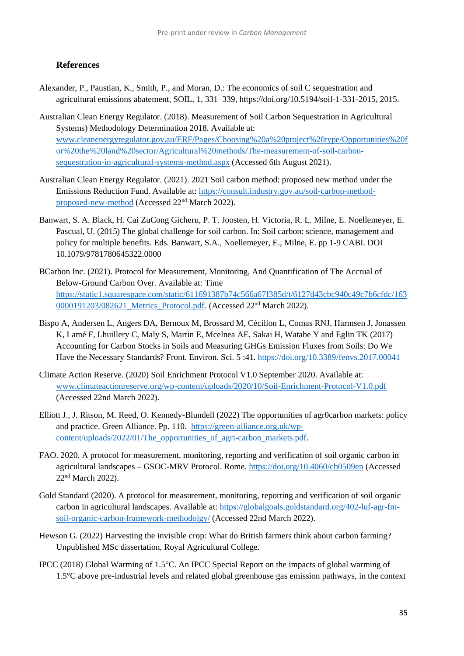#### **References**

- Alexander, P., Paustian, K., Smith, P., and Moran, D.: The economics of soil C sequestration and agricultural emissions abatement, SOIL, 1, 331–339, https://doi.org/10.5194/soil-1-331-2015, 2015.
- Australian Clean Energy Regulator. (2018). Measurement of Soil Carbon Sequestration in Agricultural Systems) Methodology Determination 2018. Available at: [www.cleanenergyregulator.gov.au/ERF/Pages/Choosing%20a%20project%20type/Opportunities%20f](http://www.cleanenergyregulator.gov.au/ERF/Pages/Choosing%20a%20project%20type/Opportunities%20for%20the%20land%20sector/Agricultural%20methods/The-measurement-of-soil-carbon-sequestration-in-agricultural-systems-method.aspx) [or%20the%20land%20sector/Agricultural%20methods/The-measurement-of-soil-carbon](http://www.cleanenergyregulator.gov.au/ERF/Pages/Choosing%20a%20project%20type/Opportunities%20for%20the%20land%20sector/Agricultural%20methods/The-measurement-of-soil-carbon-sequestration-in-agricultural-systems-method.aspx)[sequestration-in-agricultural-systems-method.aspx](http://www.cleanenergyregulator.gov.au/ERF/Pages/Choosing%20a%20project%20type/Opportunities%20for%20the%20land%20sector/Agricultural%20methods/The-measurement-of-soil-carbon-sequestration-in-agricultural-systems-method.aspx) (Accessed 6th August 2021).
- Australian Clean Energy Regulator. (2021). 2021 Soil carbon method: proposed new method under the Emissions Reduction Fund. Available at: [https://consult.industry.gov.au/soil-carbon-method](https://consult.industry.gov.au/soil-carbon-method-proposed-new-method)[proposed-new-method](https://consult.industry.gov.au/soil-carbon-method-proposed-new-method) (Accessed 22nd March 2022).
- Banwart, S. A. Black, H. Cai ZuCong Gicheru, P. T. Joosten, H. Victoria, R. L. Milne, E. Noellemeyer, E. Pascual, U. (2015) The global challenge for soil carbon. In: Soil carbon: science, management and policy for multiple benefits. Eds. Banwart, S.A., Noellemeyer, E., Milne, E. pp 1-9 CABI. DOI 10.1079/9781780645322.0000
- BCarbon Inc. (2021). Protocol for Measurement, Monitoring, And Quantification of The Accrual of Below-Ground Carbon Over. Available at: Time [https://static1.squarespace.com/static/611691387b74c566a67f385d/t/6127d43cbc940c49c7b6cfdc/163](https://static1.squarespace.com/static/611691387b74c566a67f385d/t/6127d43cbc940c49c7b6cfdc/1630000191203/082621_Metrics_Protocol.pdf) 0000191203/082621 Metrics Protocol.pdf. (Accessed 22<sup>nd</sup> March 2022).
- Bispo A, Andersen L, Angers DA, Bernoux M, Brossard M, Cécillon L, Comas RNJ, Harmsen J, Jonassen K, Lamé F, Lhuillery C, Maly S, Martin E, Mcelnea AE, Sakai H, Watabe Y and Eglin TK (2017) Accounting for Carbon Stocks in Soils and Measuring GHGs Emission Fluxes from Soils: Do We Have the Necessary Standards? Front. Environ. Sci. 5 :41[. https://doi.org/10.3389/fenvs.2017.00041](https://doi.org/10.3389/fenvs.2017.00041)
- Climate Action Reserve. (2020) Soil Enrichment Protocol V1.0 September 2020. Available at: [www.climateactionreserve.org/wp-content/uploads/2020/10/Soil-Enrichment-Protocol-V1.0.pdf](http://www.climateactionreserve.org/wp-content/uploads/2020/10/Soil-Enrichment-Protocol-V1.0.pdf) (Accessed 22nd March 2022).
- Elliott J., J. Ritson, M. Reed, O. Kennedy-Blundell (2022) The opportunities of agr0carbon markets: policy and practice. Green Alliance. Pp. 110. [https://green-alliance.org.uk/wp](https://green-alliance.org.uk/wp-content/uploads/2022/01/The_opportunities_of_agri-carbon_markets.pdf)[content/uploads/2022/01/The\\_opportunities\\_of\\_agri-carbon\\_markets.pdf.](https://green-alliance.org.uk/wp-content/uploads/2022/01/The_opportunities_of_agri-carbon_markets.pdf)
- FAO. 2020. A protocol for measurement, monitoring, reporting and verification of soil organic carbon in agricultural landscapes – GSOC-MRV Protocol. Rome.<https://doi.org/10.4060/cb0509en> (Accessed 22nd March 2022).
- Gold Standard (2020). A protocol for measurement, monitoring, reporting and verification of soil organic carbon in agricultural landscapes. Available at: [https://globalgoals.goldstandard.org/402-luf-agr-fm](https://globalgoals.goldstandard.org/402-luf-agr-fm-soil-organic-carbon-framework-methodolgy/)[soil-organic-carbon-framework-methodolgy/](https://globalgoals.goldstandard.org/402-luf-agr-fm-soil-organic-carbon-framework-methodolgy/) (Accessed 22nd March 2022).
- Hewson G. (2022) Harvesting the invisible crop: What do British farmers think about carbon farming? Unpublished MSc dissertation, Royal Agricultural College.
- IPCC (2018) Global Warming of 1.5°C. An IPCC Special Report on the impacts of global warming of 1.5°C above pre-industrial levels and related global greenhouse gas emission pathways, in the context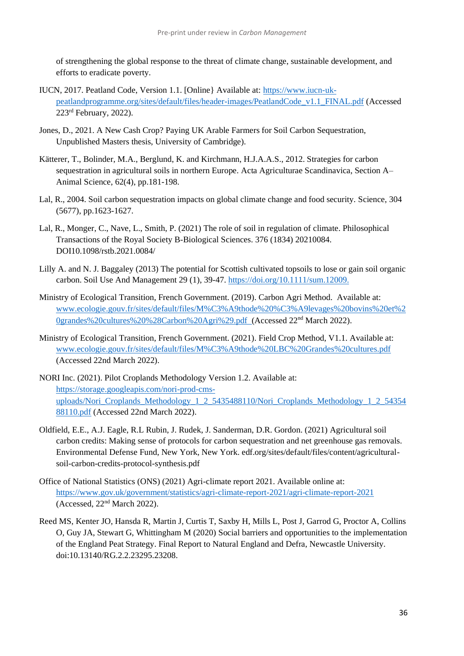of strengthening the global response to the threat of climate change, sustainable development, and efforts to eradicate poverty.

- IUCN, 2017. Peatland Code, Version 1.1. [Online} Available at: [https://www.iucn-uk](https://www.iucn-uk-peatlandprogramme.org/sites/default/files/header-images/PeatlandCode_v1.1_FINAL.pdf)[peatlandprogramme.org/sites/default/files/header-images/PeatlandCode\\_v1.1\\_FINAL.pdf](https://www.iucn-uk-peatlandprogramme.org/sites/default/files/header-images/PeatlandCode_v1.1_FINAL.pdf) (Accessed  $223<sup>rd</sup>$  February, 2022).
- Jones, D., 2021. A New Cash Crop? Paying UK Arable Farmers for Soil Carbon Sequestration, Unpublished Masters thesis, University of Cambridge).
- Kätterer, T., Bolinder, M.A., Berglund, K. and Kirchmann, H.J.A.A.S., 2012. Strategies for carbon sequestration in agricultural soils in northern Europe. Acta Agriculturae Scandinavica, Section A– Animal Science, 62(4), pp.181-198.
- Lal, R., 2004. Soil carbon sequestration impacts on global climate change and food security. Science, 304 (5677), pp.1623-1627.
- Lal, R., Monger, C., Nave, L., Smith, P. (2021) The role of soil in regulation of climate. Philosophical Transactions of the Royal Society B-Biological Sciences. 376 (1834) 20210084. DOI10.1098/rstb.2021.0084/
- Lilly A. and N. J. Baggaley (2013) The potential for Scottish cultivated topsoils to lose or gain soil organic carbon. Soil Use And Management 29 (1), 39-47.<https://doi.org/10.1111/sum.12009.>
- Ministry of Ecological Transition, French Government. (2019). Carbon Agri Method. Available at: [www.ecologie.gouv.fr/sites/default/files/M%C3%A9thode%20%C3%A9levages%20bovins%20et%2](http://www.ecologie.gouv.fr/sites/default/files/M%C3%A9thode%20%C3%A9levages%20bovins%20et%20grandes%20cultures%20%28Carbon%20Agri%29.pdf) [0grandes%20cultures%20%28Carbon%20Agri%29.pdf](http://www.ecologie.gouv.fr/sites/default/files/M%C3%A9thode%20%C3%A9levages%20bovins%20et%20grandes%20cultures%20%28Carbon%20Agri%29.pdf) (Accessed 22nd March 2022).
- Ministry of Ecological Transition, French Government. (2021). Field Crop Method, V1.1. Available at: [www.ecologie.gouv.fr/sites/default/files/M%C3%A9thode%20LBC%20Grandes%20cultures.pdf](http://www.ecologie.gouv.fr/sites/default/files/M%C3%A9thode%20LBC%20Grandes%20cultures.pdf) (Accessed 22nd March 2022).
- NORI Inc. (2021). Pilot Croplands Methodology Version 1.2. Available at: [https://storage.googleapis.com/nori-prod-cms](https://storage.googleapis.com/nori-prod-cms-uploads/Nori_Croplands_Methodology_1_2_5435488110/Nori_Croplands_Methodology_1_2_5435488110.pdf)[uploads/Nori\\_Croplands\\_Methodology\\_1\\_2\\_5435488110/Nori\\_Croplands\\_Methodology\\_1\\_2\\_54354](https://storage.googleapis.com/nori-prod-cms-uploads/Nori_Croplands_Methodology_1_2_5435488110/Nori_Croplands_Methodology_1_2_5435488110.pdf) [88110.pdf](https://storage.googleapis.com/nori-prod-cms-uploads/Nori_Croplands_Methodology_1_2_5435488110/Nori_Croplands_Methodology_1_2_5435488110.pdf) (Accessed 22nd March 2022).
- Oldfield, E.E., A.J. Eagle, R.L Rubin, J. Rudek, J. Sanderman, D.R. Gordon. (2021) Agricultural soil carbon credits: Making sense of protocols for carbon sequestration and net greenhouse gas removals. Environmental Defense Fund, New York, New York. edf.org/sites/default/files/content/agriculturalsoil-carbon-credits-protocol-synthesis.pdf
- Office of National Statistics (ONS) (2021) Agri-climate report 2021. Available online at: <https://www.gov.uk/government/statistics/agri-climate-report-2021/agri-climate-report-2021> (Accessed,  $22<sup>nd</sup> March 2022$ ).
- Reed MS, Kenter JO, Hansda R, Martin J, Curtis T, Saxby H, Mills L, Post J, Garrod G, Proctor A, Collins O, Guy JA, Stewart G, Whittingham M (2020) [Social barriers and opportunities to the implementation](https://eprints.ncl.ac.uk/268895)  [of the England Peat Strategy.](https://eprints.ncl.ac.uk/268895) Final Report to Natural England and Defra, Newcastle University. doi:10.13140/RG.2.2.23295.23208.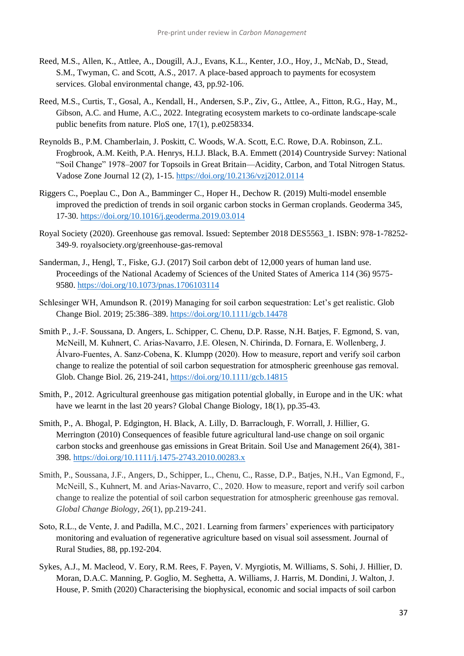- Reed, M.S., Allen, K., Attlee, A., Dougill, A.J., Evans, K.L., Kenter, J.O., Hoy, J., McNab, D., Stead, S.M., Twyman, C. and Scott, A.S., 2017. A place-based approach to payments for ecosystem services. Global environmental change, 43, pp.92-106.
- Reed, M.S., Curtis, T., Gosal, A., Kendall, H., Andersen, S.P., Ziv, G., Attlee, A., Fitton, R.G., Hay, M., Gibson, A.C. and Hume, A.C., 2022. Integrating ecosystem markets to co-ordinate landscape-scale public benefits from nature. PloS one, 17(1), p.e0258334.
- Reynolds B., P.M. Chamberlain, J. Poskitt, C. Woods, W.A. Scott, E.C. Rowe, D.A. Robinson, Z.L. Frogbrook, A.M. Keith, P.A. Henrys, H.I.J. Black, B.A. Emmett (2014) Countryside Survey: National "Soil Change" 1978–2007 for Topsoils in Great Britain—Acidity, Carbon, and Total Nitrogen Status. Vadose Zone Journal 12 (2), 1-15.<https://doi.org/10.2136/vzj2012.0114>
- Riggers C., Poeplau C., Don A., Bamminger C., Hoper H., Dechow R. (2019) Multi-model ensemble improved the prediction of trends in soil organic carbon stocks in German croplands. Geoderma 345, 17-30.<https://doi.org/10.1016/j.geoderma.2019.03.014>
- Royal Society (2020). Greenhouse gas removal. Issued: September 2018 DES5563\_1. ISBN: 978-1-78252- 349-9. royalsociety.org/greenhouse-gas-removal
- Sanderman, J., Hengl, T., Fiske, G.J. (2017) Soil carbon debt of 12,000 years of human land use. Proceedings of the National Academy of Sciences of the United States of America 114 (36) 9575- 9580.<https://doi.org/10.1073/pnas.1706103114>
- Schlesinger WH, Amundson R. (2019) Managing for soil carbon sequestration: Let's get realistic. Glob Change Biol. 2019; 25:386–389.<https://doi.org/10.1111/gcb.14478>
- Smith P., J.-F. Soussana, D. Angers, L. Schipper, C. Chenu, D.P. Rasse, N.H. Batjes, F. Egmond, S. van, McNeill, M. Kuhnert, C. Arias‐Navarro, J.E. Olesen, N. Chirinda, D. Fornara, E. Wollenberg, J. Álvaro‐Fuentes, A. Sanz‐Cobena, K. Klumpp (2020). How to measure, report and verify soil carbon change to realize the potential of soil carbon sequestration for atmospheric greenhouse gas removal. Glob. Change Biol. 26, 219-241,<https://doi.org/10.1111/gcb.14815>
- Smith, P., 2012. Agricultural greenhouse gas mitigation potential globally, in Europe and in the UK: what have we learnt in the last 20 years? Global Change Biology, 18(1), pp.35-43.
- Smith, P., A. Bhogal, P. Edgington, H. Black, A. Lilly, D. Barraclough, F. Worrall, J. Hillier, G. Merrington (2010) Consequences of feasible future agricultural land-use change on soil organic carbon stocks and greenhouse gas emissions in Great Britain. Soil Use and Management 26(4), 381- 398.<https://doi.org/10.1111/j.1475-2743.2010.00283.x>
- Smith, P., Soussana, J.F., Angers, D., Schipper, L., Chenu, C., Rasse, D.P., Batjes, N.H., Van Egmond, F., McNeill, S., Kuhnert, M. and Arias‐Navarro, C., 2020. How to measure, report and verify soil carbon change to realize the potential of soil carbon sequestration for atmospheric greenhouse gas removal. *Global Change Biology*, *26*(1), pp.219-241.
- Soto, R.L., de Vente, J. and Padilla, M.C., 2021. Learning from farmers' experiences with participatory monitoring and evaluation of regenerative agriculture based on visual soil assessment. Journal of Rural Studies, 88, pp.192-204.
- Sykes, A.J., M. Macleod, V. Eory, R.M. Rees, F. Payen, V. Myrgiotis, M. Williams, S. Sohi, J. Hillier, D. Moran, D.A.C. Manning, P. Goglio, M. Seghetta, A. Williams, J. Harris, M. Dondini, J. Walton, J. House, P. Smith (2020) Characterising the biophysical, economic and social impacts of soil carbon